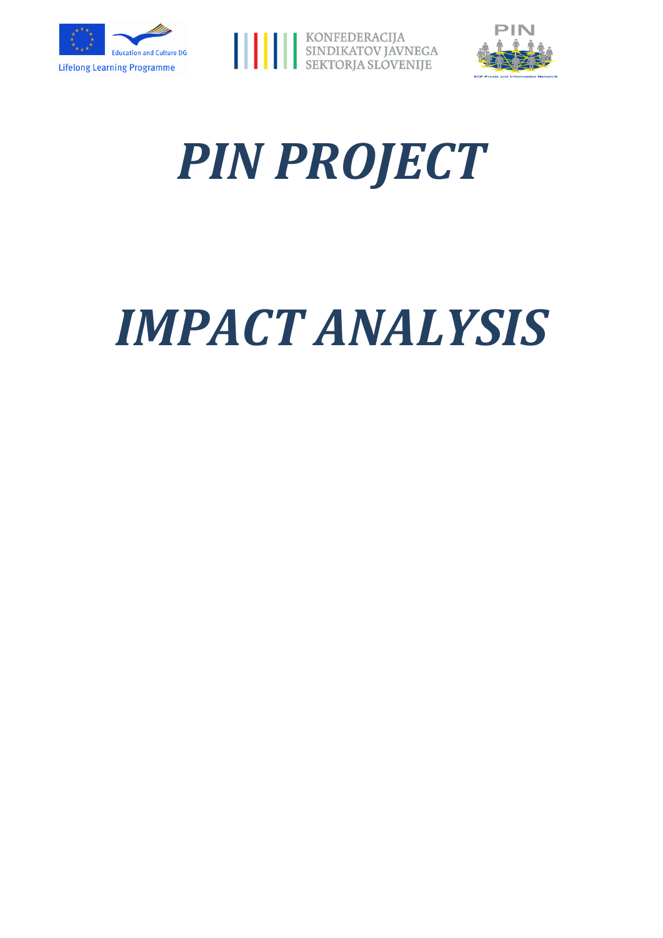





# *PIN PROJECT*

# *IMPACT ANALYSIS*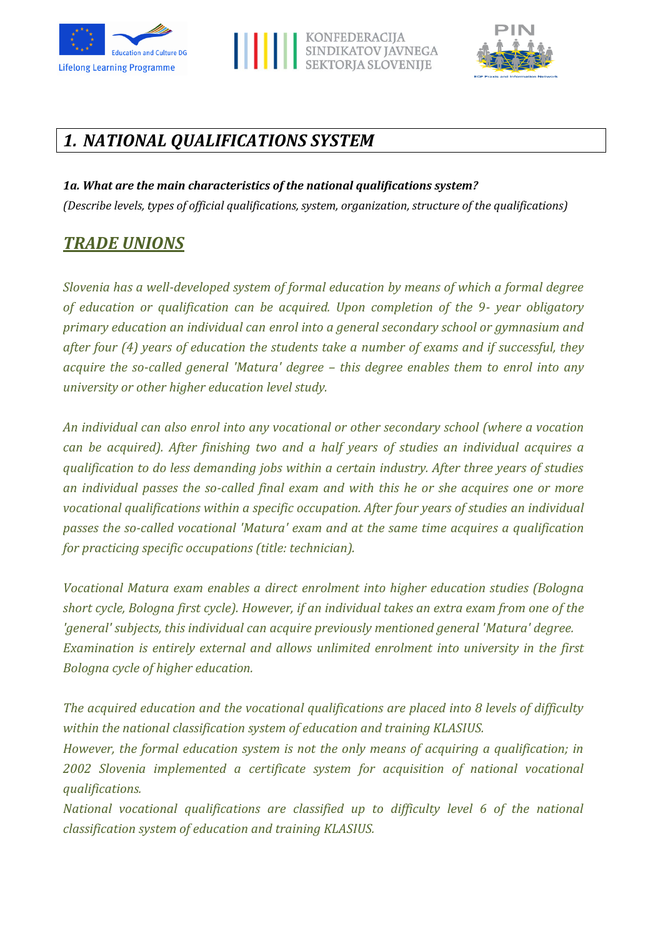





# *1. NATIONAL QUALIFICATIONS SYSTEM*

*1a. What are the main characteristics of the national qualifications system? (Describe levels, types of official qualifications, system, organization, structure of the qualifications)*

# *TRADE UNIONS*

*Slovenia has a well-developed system of formal education by means of which a formal degree of education or qualification can be acquired. Upon completion of the 9- year obligatory primary education an individual can enrol into a general secondary school or gymnasium and after four (4) years of education the students take a number of exams and if successful, they acquire the so-called general 'Matura' degree – this degree enables them to enrol into any university or other higher education level study.*

*An individual can also enrol into any vocational or other secondary school (where a vocation can be acquired). After finishing two and a half years of studies an individual acquires a qualification to do less demanding jobs within a certain industry. After three years of studies an individual passes the so-called final exam and with this he or she acquires one or more vocational qualifications within a specific occupation. After four years of studies an individual passes the so-called vocational 'Matura' exam and at the same time acquires a qualification for practicing specific occupations (title: technician).*

*Vocational Matura exam enables a direct enrolment into higher education studies (Bologna short cycle, Bologna first cycle). However, if an individual takes an extra exam from one of the 'general' subjects, this individual can acquire previously mentioned general 'Matura' degree. Examination is entirely external and allows unlimited enrolment into university in the first Bologna cycle of higher education.*

*The acquired education and the vocational qualifications are placed into 8 levels of difficulty within the national classification system of education and training KLASIUS.*

*However, the formal education system is not the only means of acquiring a qualification; in 2002 Slovenia implemented a certificate system for acquisition of national vocational qualifications.* 

*National vocational qualifications are classified up to difficulty level 6 of the national classification system of education and training KLASIUS.*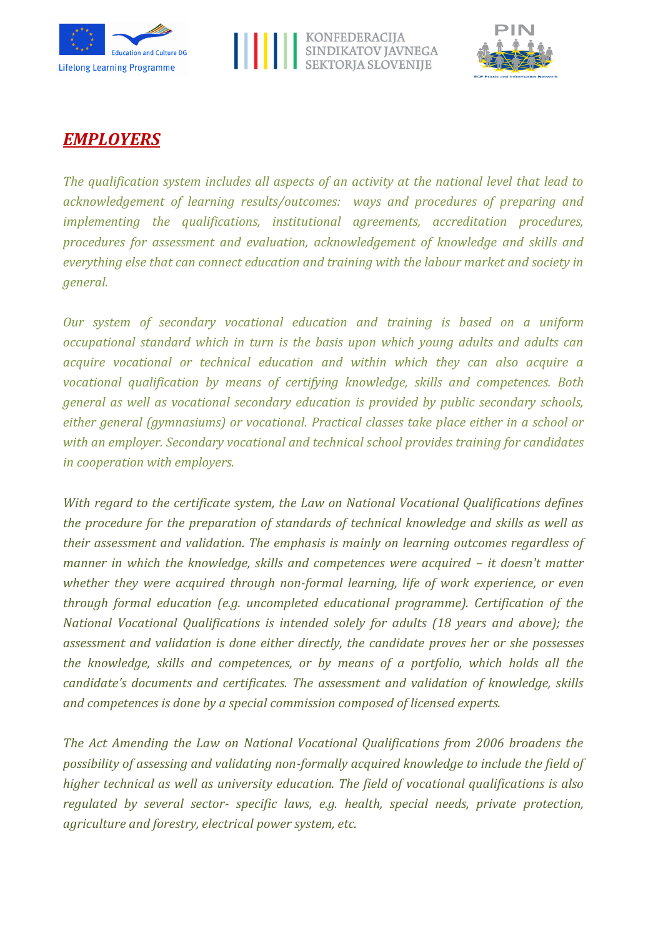





## *EMPLOYERS*

*The qualification system includes all aspects of an activity at the national level that lead to acknowledgement of learning results/outcomes: ways and procedures of preparing and implementing the qualifications, institutional agreements, accreditation procedures, procedures for assessment and evaluation, acknowledgement of knowledge and skills and everything else that can connect education and training with the labour market and society in general.*

*Our system of secondary vocational education and training is based on a uniform occupational standard which in turn is the basis upon which young adults and adults can acquire vocational or technical education and within which they can also acquire a vocational qualification by means of certifying knowledge, skills and competences. Both general as well as vocational secondary education is provided by public secondary schools, either general (gymnasiums) or vocational. Practical classes take place either in a school or with an employer. Secondary vocational and technical school provides training for candidates in cooperation with employers.*

*With regard to the certificate system, the Law on National Vocational Qualifications defines the procedure for the preparation of standards of technical knowledge and skills as well as their assessment and validation. The emphasis is mainly on learning outcomes regardless of manner in which the knowledge, skills and competences were acquired – it doesn't matter whether they were acquired through non-formal learning, life of work experience, or even through formal education (e.g. uncompleted educational programme). Certification of the National Vocational Qualifications is intended solely for adults (18 years and above); the assessment and validation is done either directly, the candidate proves her or she possesses the knowledge, skills and competences, or by means of a portfolio, which holds all the candidate's documents and certificates. The assessment and validation of knowledge, skills and competences is done by a special commission composed of licensed experts.*

*The Act Amending the Law on National Vocational Qualifications from 2006 broadens the possibility of assessing and validating non-formally acquired knowledge to include the field of higher technical as well as university education. The field of vocational qualifications is also regulated by several sector- specific laws, e.g. health, special needs, private protection, agriculture and forestry, electrical power system, etc.*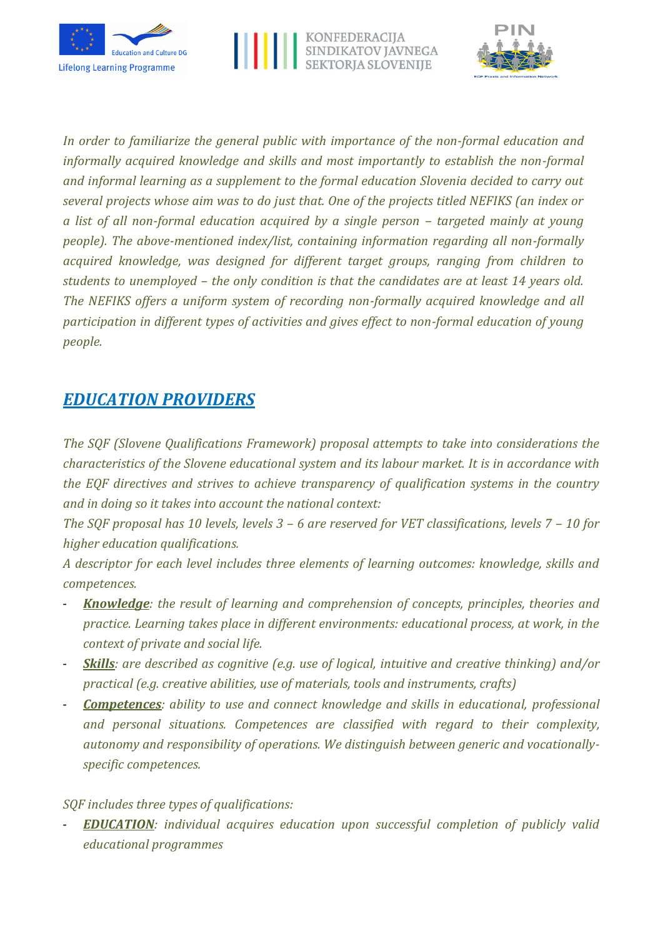





*In order to familiarize the general public with importance of the non-formal education and informally acquired knowledge and skills and most importantly to establish the non-formal and informal learning as a supplement to the formal education Slovenia decided to carry out several projects whose aim was to do just that. One of the projects titled NEFIKS (an index or a list of all non-formal education acquired by a single person – targeted mainly at young people). The above-mentioned index/list, containing information regarding all non-formally acquired knowledge, was designed for different target groups, ranging from children to students to unemployed – the only condition is that the candidates are at least 14 years old. The NEFIKS offers a uniform system of recording non-formally acquired knowledge and all participation in different types of activities and gives effect to non-formal education of young people.*

## *EDUCATION PROVIDERS*

*The SQF (Slovene Qualifications Framework) proposal attempts to take into considerations the characteristics of the Slovene educational system and its labour market. It is in accordance with the EQF directives and strives to achieve transparency of qualification systems in the country and in doing so it takes into account the national context:*

*The SQF proposal has 10 levels, levels 3 – 6 are reserved for VET classifications, levels 7 – 10 for higher education qualifications.*

*A descriptor for each level includes three elements of learning outcomes: knowledge, skills and competences.*

- *Knowledge: the result of learning and comprehension of concepts, principles, theories and practice. Learning takes place in different environments: educational process, at work, in the context of private and social life.*
- *Skills: are described as cognitive (e.g. use of logical, intuitive and creative thinking) and/or practical (e.g. creative abilities, use of materials, tools and instruments, crafts)*
- *Competences: ability to use and connect knowledge and skills in educational, professional and personal situations. Competences are classified with regard to their complexity, autonomy and responsibility of operations. We distinguish between generic and vocationallyspecific competences.*

#### *SQF includes three types of qualifications:*

- *EDUCATION: individual acquires education upon successful completion of publicly valid educational programmes*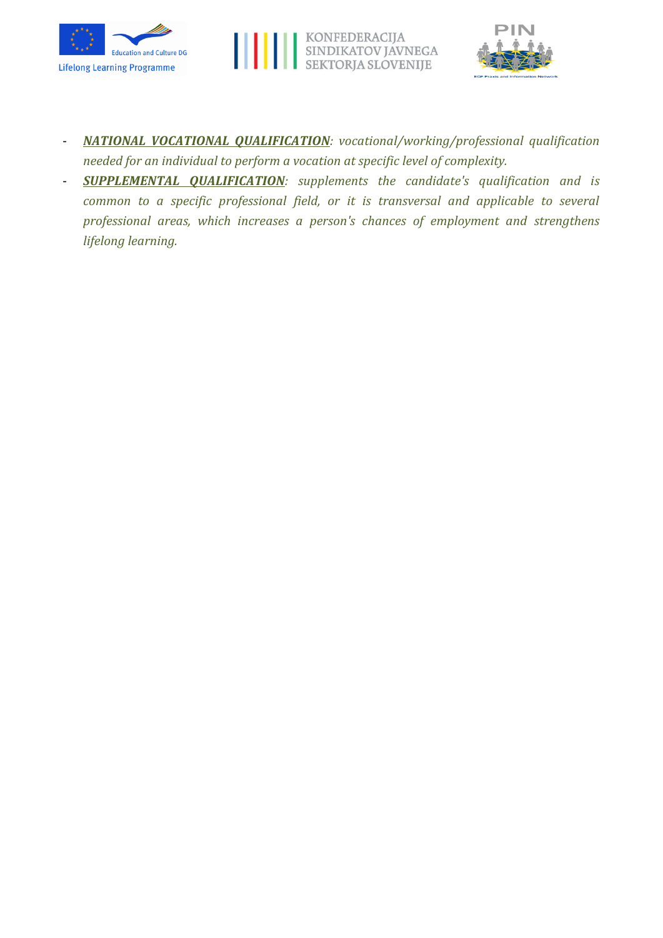





- *NATIONAL VOCATIONAL QUALIFICATION: vocational/working/professional qualification needed for an individual to perform a vocation at specific level of complexity.*
- *SUPPLEMENTAL QUALIFICATION: supplements the candidate's qualification and is common to a specific professional field, or it is transversal and applicable to several professional areas, which increases a person's chances of employment and strengthens lifelong learning.*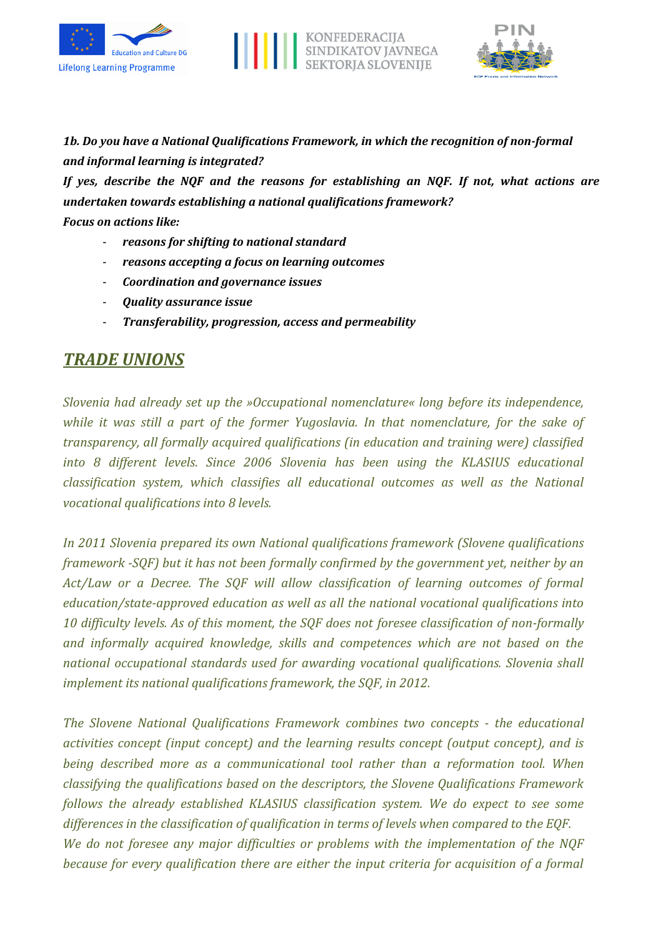





*1b. Do you have a National Qualifications Framework, in which the recognition of non-formal and informal learning is integrated?*

*If yes, describe the NQF and the reasons for establishing an NQF. If not, what actions are undertaken towards establishing a national qualifications framework?*

*Focus on actions like:*

- *reasons for shifting to national standard*
- *reasons accepting a focus on learning outcomes*
- *Coordination and governance issues*
- *Quality assurance issue*
- *Transferability, progression, access and permeability*

## *TRADE UNIONS*

*Slovenia had already set up the »Occupational nomenclature« long before its independence, while it was still a part of the former Yugoslavia. In that nomenclature, for the sake of transparency, all formally acquired qualifications (in education and training were) classified into 8 different levels. Since 2006 Slovenia has been using the KLASIUS educational classification system, which classifies all educational outcomes as well as the National vocational qualifications into 8 levels.*

*In 2011 Slovenia prepared its own National qualifications framework (Slovene qualifications framework -SQF) but it has not been formally confirmed by the government yet, neither by an Act/Law or a Decree. The SQF will allow classification of learning outcomes of formal education/state-approved education as well as all the national vocational qualifications into 10 difficulty levels. As of this moment, the SQF does not foresee classification of non-formally and informally acquired knowledge, skills and competences which are not based on the national occupational standards used for awarding vocational qualifications. Slovenia shall implement its national qualifications framework, the SQF, in 2012.*

*The Slovene National Qualifications Framework combines two concepts - the educational activities concept (input concept) and the learning results concept (output concept), and is being described more as a communicational tool rather than a reformation tool. When classifying the qualifications based on the descriptors, the Slovene Qualifications Framework follows the already established KLASIUS classification system. We do expect to see some differences in the classification of qualification in terms of levels when compared to the EQF. We do not foresee any major difficulties or problems with the implementation of the NQF because for every qualification there are either the input criteria for acquisition of a formal*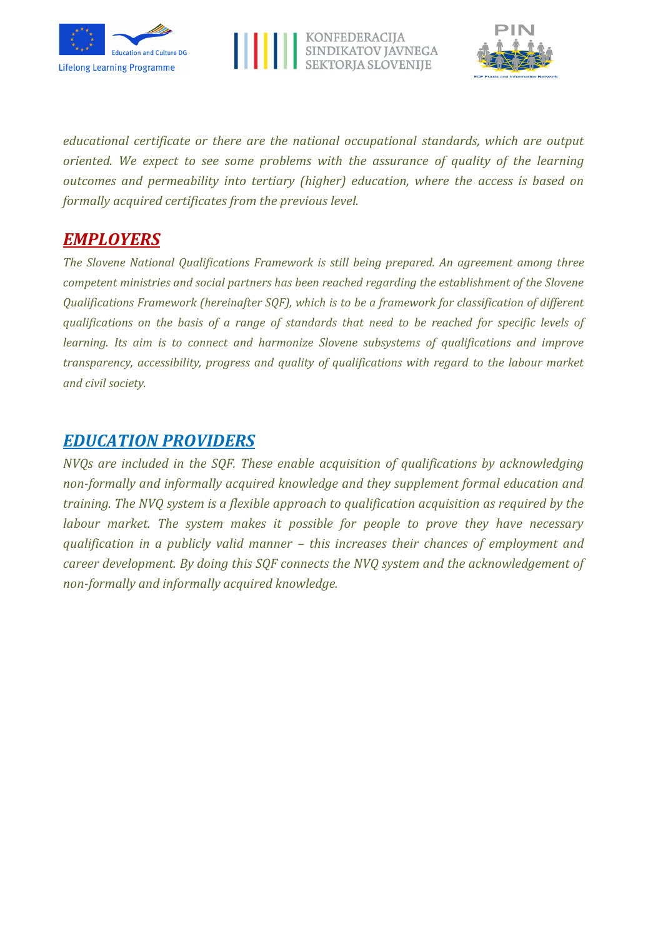





*educational certificate or there are the national occupational standards, which are output oriented. We expect to see some problems with the assurance of quality of the learning outcomes and permeability into tertiary (higher) education, where the access is based on formally acquired certificates from the previous level.*

## *EMPLOYERS*

*The Slovene National Qualifications Framework is still being prepared. An agreement among three competent ministries and social partners has been reached regarding the establishment of the Slovene Qualifications Framework (hereinafter SQF), which is to be a framework for classification of different qualifications on the basis of a range of standards that need to be reached for specific levels of learning. Its aim is to connect and harmonize Slovene subsystems of qualifications and improve transparency, accessibility, progress and quality of qualifications with regard to the labour market and civil society.*

## *EDUCATION PROVIDERS*

*NVQs are included in the SQF. These enable acquisition of qualifications by acknowledging non-formally and informally acquired knowledge and they supplement formal education and training. The NVQ system is a flexible approach to qualification acquisition as required by the labour market. The system makes it possible for people to prove they have necessary qualification in a publicly valid manner – this increases their chances of employment and career development. By doing this SQF connects the NVQ system and the acknowledgement of non-formally and informally acquired knowledge.*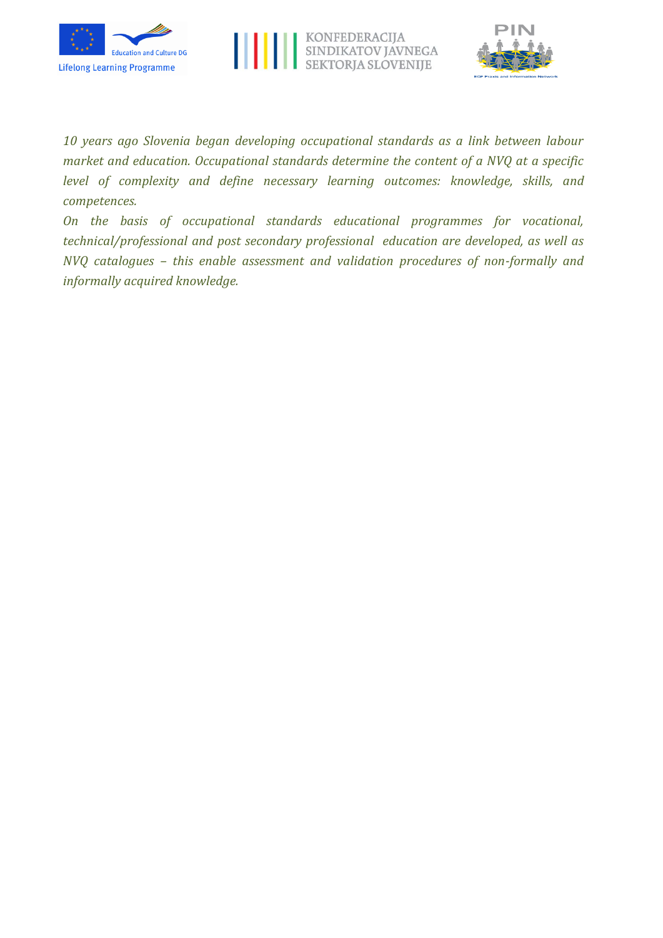





*10 years ago Slovenia began developing occupational standards as a link between labour market and education. Occupational standards determine the content of a NVQ at a specific level of complexity and define necessary learning outcomes: knowledge, skills, and competences.*

*On the basis of occupational standards educational programmes for vocational, technical/professional and post secondary professional education are developed, as well as NVQ catalogues – this enable assessment and validation procedures of non-formally and informally acquired knowledge.*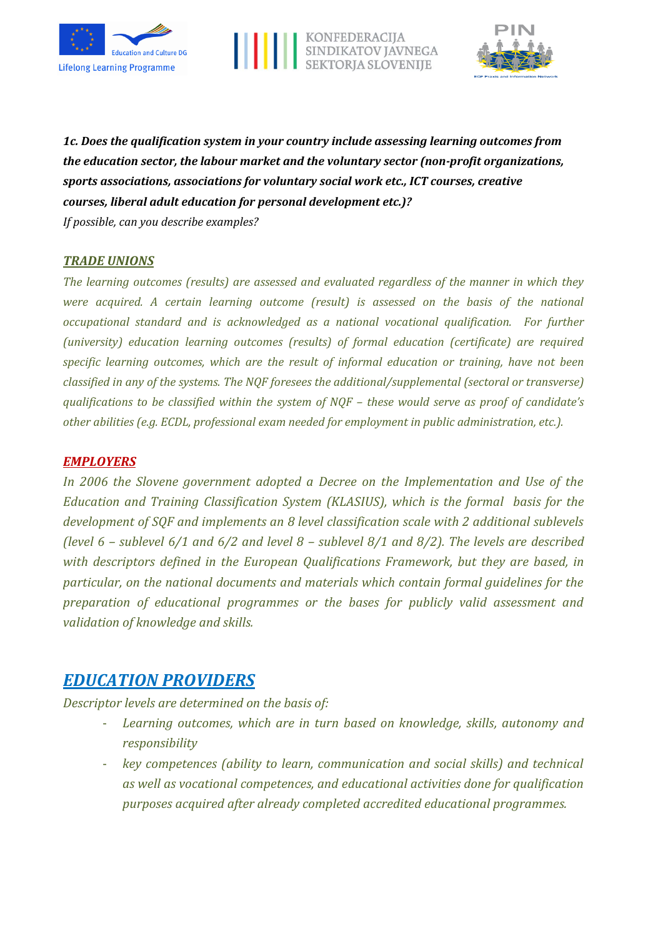





*1c. Does the qualification system in your country include assessing learning outcomes from the education sector, the labour market and the voluntary sector (non-profit organizations, sports associations, associations for voluntary social work etc., ICT courses, creative courses, liberal adult education for personal development etc.)?*

*If possible, can you describe examples?*

#### *TRADE UNIONS*

*The learning outcomes (results) are assessed and evaluated regardless of the manner in which they were acquired. A certain learning outcome (result) is assessed on the basis of the national occupational standard and is acknowledged as a national vocational qualification. For further (university) education learning outcomes (results) of formal education (certificate) are required specific learning outcomes, which are the result of informal education or training, have not been classified in any of the systems. The NQF foresees the additional/supplemental (sectoral or transverse) qualifications to be classified within the system of NQF – these would serve as proof of candidate's other abilities (e.g. ECDL, professional exam needed for employment in public administration, etc.).* 

#### *EMPLOYERS*

*In 2006 the Slovene government adopted a Decree on the Implementation and Use of the Education and Training Classification System (KLASIUS), which is the formal basis for the development of SQF and implements an 8 level classification scale with 2 additional sublevels (level 6 – sublevel 6/1 and 6/2 and level 8 – sublevel 8/1 and 8/2). The levels are described with descriptors defined in the European Qualifications Framework, but they are based, in particular, on the national documents and materials which contain formal guidelines for the preparation of educational programmes or the bases for publicly valid assessment and validation of knowledge and skills.*

## *EDUCATION PROVIDERS*

*Descriptor levels are determined on the basis of:*

- Learning outcomes, which are in turn based on knowledge, skills, autonomy and *responsibility*
- *key competences (ability to learn, communication and social skills) and technical as well as vocational competences, and educational activities done for qualification purposes acquired after already completed accredited educational programmes.*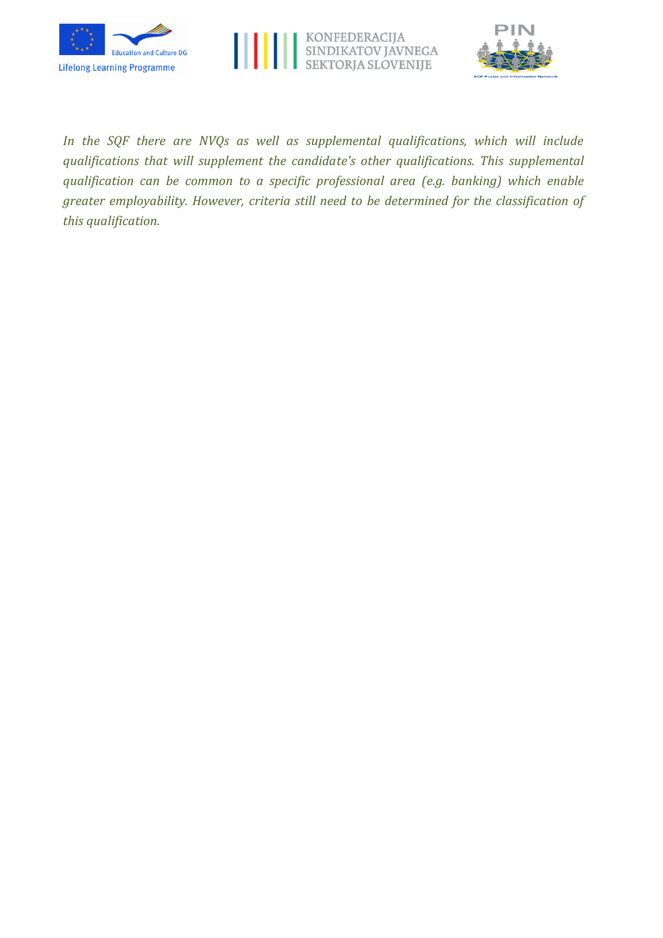





*In the SQF there are NVQs as well as supplemental qualifications, which will include qualifications that will supplement the candidate's other qualifications. This supplemental qualification can be common to a specific professional area (e.g. banking) which enable greater employability. However, criteria still need to be determined for the classification of this qualification.*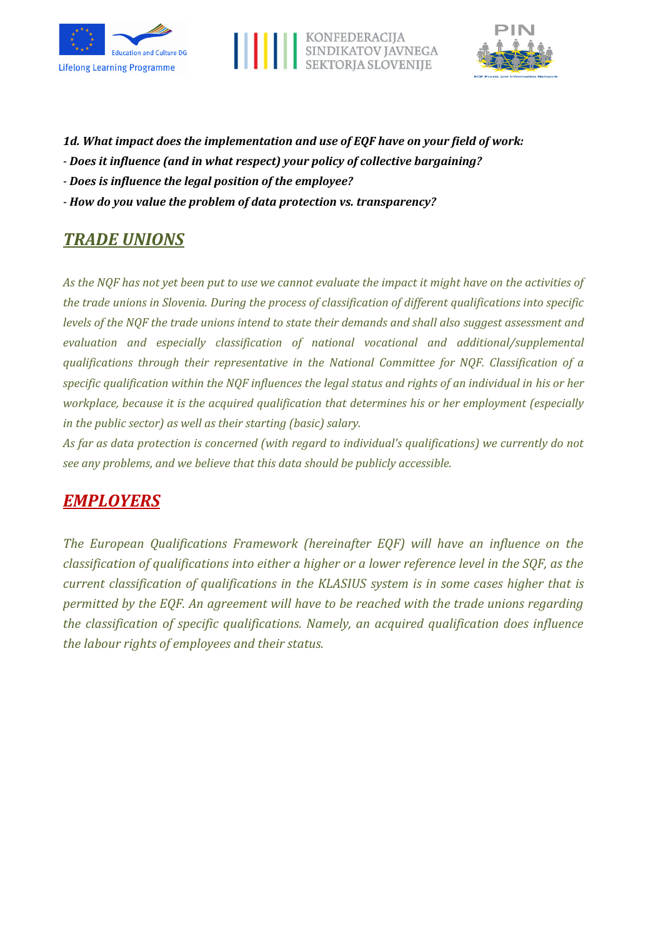





- *1d. What impact does the implementation and use of EQF have on your field of work:*
- *- Does it influence (and in what respect) your policy of collective bargaining?*
- *- Does is influence the legal position of the employee?*
- *- How do you value the problem of data protection vs. transparency?*

# *TRADE UNIONS*

*As the NQF has not yet been put to use we cannot evaluate the impact it might have on the activities of the trade unions in Slovenia. During the process of classification of different qualifications into specific levels of the NQF the trade unions intend to state their demands and shall also suggest assessment and evaluation and especially classification of national vocational and additional/supplemental qualifications through their representative in the National Committee for NQF. Classification of a specific qualification within the NQF influences the legal status and rights of an individual in his or her workplace, because it is the acquired qualification that determines his or her employment (especially in the public sector) as well as their starting (basic) salary.*

*As far as data protection is concerned (with regard to individual's qualifications) we currently do not see any problems, and we believe that this data should be publicly accessible.*

# *EMPLOYERS*

*The European Qualifications Framework (hereinafter EQF) will have an influence on the classification of qualifications into either a higher or a lower reference level in the SQF, as the current classification of qualifications in the KLASIUS system is in some cases higher that is permitted by the EQF. An agreement will have to be reached with the trade unions regarding the classification of specific qualifications. Namely, an acquired qualification does influence the labour rights of employees and their status.*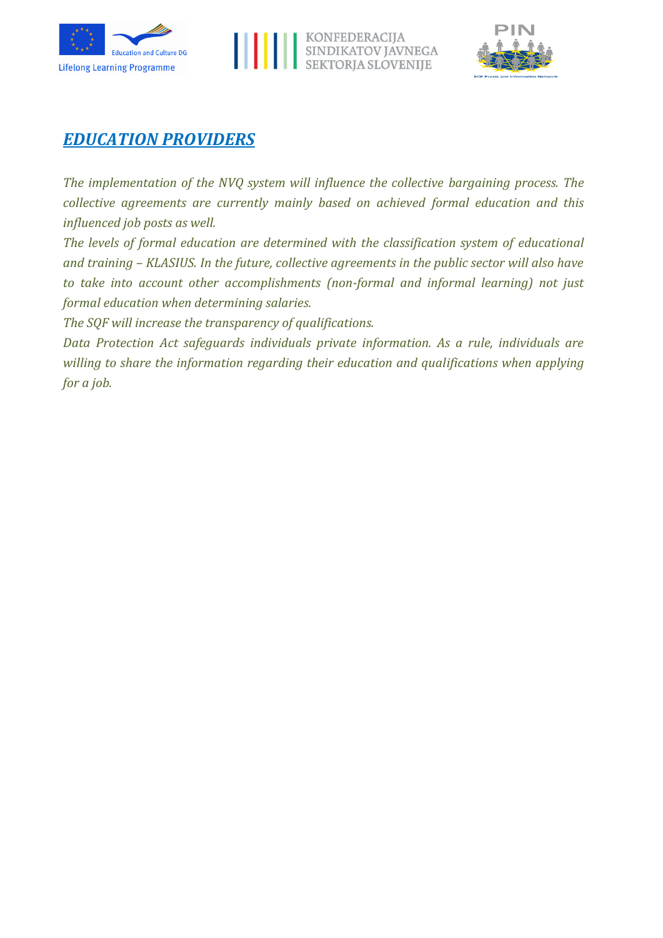





## *EDUCATION PROVIDERS*

*The implementation of the NVQ system will influence the collective bargaining process. The collective agreements are currently mainly based on achieved formal education and this influenced job posts as well.*

*The levels of formal education are determined with the classification system of educational and training – KLASIUS. In the future, collective agreements in the public sector will also have to take into account other accomplishments (non-formal and informal learning) not just formal education when determining salaries.*

*The SQF will increase the transparency of qualifications.* 

*Data Protection Act safeguards individuals private information. As a rule, individuals are willing to share the information regarding their education and qualifications when applying for a job.*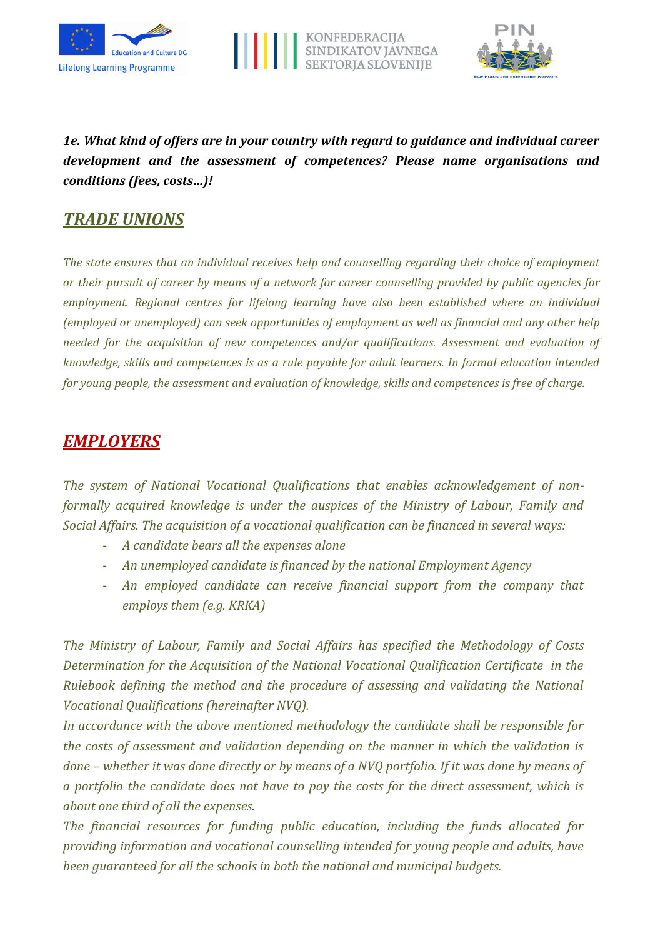





*1e. What kind of offers are in your country with regard to guidance and individual career development and the assessment of competences? Please name organisations and conditions (fees, costs…)!*

## *TRADE UNIONS*

*The state ensures that an individual receives help and counselling regarding their choice of employment or their pursuit of career by means of a network for career counselling provided by public agencies for employment. Regional centres for lifelong learning have also been established where an individual (employed or unemployed) can seek opportunities of employment as well as financial and any other help needed for the acquisition of new competences and/or qualifications. Assessment and evaluation of knowledge, skills and competences is as a rule payable for adult learners. In formal education intended for young people, the assessment and evaluation of knowledge, skills and competences is free of charge.*

## *EMPLOYERS*

*The system of National Vocational Qualifications that enables acknowledgement of nonformally acquired knowledge is under the auspices of the Ministry of Labour, Family and Social Affairs. The acquisition of a vocational qualification can be financed in several ways:*

- *A candidate bears all the expenses alone*
- *An unemployed candidate is financed by the national Employment Agency*
- *An employed candidate can receive financial support from the company that employs them (e.g. KRKA)*

*The Ministry of Labour, Family and Social Affairs has specified the Methodology of Costs Determination for the Acquisition of the National Vocational Qualification Certificate in the Rulebook defining the method and the procedure of assessing and validating the National Vocational Qualifications (hereinafter NVQ).* 

*In accordance with the above mentioned methodology the candidate shall be responsible for the costs of assessment and validation depending on the manner in which the validation is done – whether it was done directly or by means of a NVQ portfolio. If it was done by means of a portfolio the candidate does not have to pay the costs for the direct assessment, which is about one third of all the expenses.*

*The financial resources for funding public education, including the funds allocated for providing information and vocational counselling intended for young people and adults, have been guaranteed for all the schools in both the national and municipal budgets.*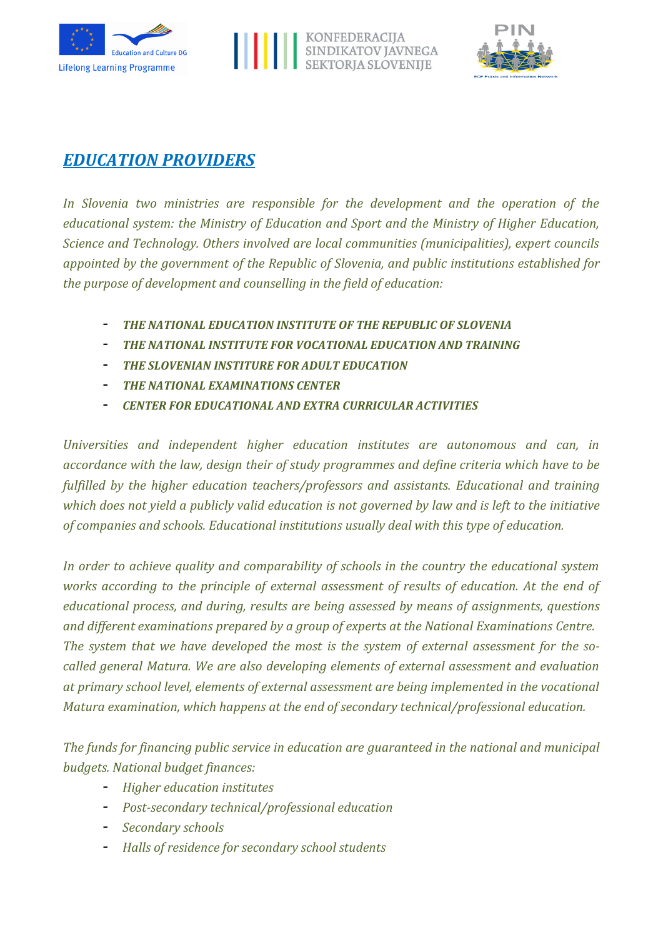





# *EDUCATION PROVIDERS*

*In Slovenia two ministries are responsible for the development and the operation of the educational system: the Ministry of Education and Sport and the Ministry of Higher Education, Science and Technology. Others involved are local communities (municipalities), expert councils appointed by the government of the Republic of Slovenia, and public institutions established for the purpose of development and counselling in the field of education:* 

- *THE NATIONAL EDUCATION INSTITUTE OF THE REPUBLIC OF SLOVENIA*
- *THE NATIONAL INSTITUTE FOR VOCATIONAL EDUCATION AND TRAINING*
- *THE SLOVENIAN INSTITURE FOR ADULT EDUCATION*
- *THE NATIONAL EXAMINATIONS CENTER*
- *CENTER FOR EDUCATIONAL AND EXTRA CURRICULAR ACTIVITIES*

*Universities and independent higher education institutes are autonomous and can, in accordance with the law, design their of study programmes and define criteria which have to be fulfilled by the higher education teachers/professors and assistants. Educational and training which does not yield a publicly valid education is not governed by law and is left to the initiative of companies and schools. Educational institutions usually deal with this type of education.*

*In order to achieve quality and comparability of schools in the country the educational system works according to the principle of external assessment of results of education. At the end of educational process, and during, results are being assessed by means of assignments, questions and different examinations prepared by a group of experts at the National Examinations Centre. The system that we have developed the most is the system of external assessment for the socalled general Matura. We are also developing elements of external assessment and evaluation at primary school level, elements of external assessment are being implemented in the vocational Matura examination, which happens at the end of secondary technical/professional education.*

*The funds for financing public service in education are guaranteed in the national and municipal budgets. National budget finances:*

- *Higher education institutes*
- *Post-secondary technical/professional education*
- *Secondary schools*
- *Halls of residence for secondary school students*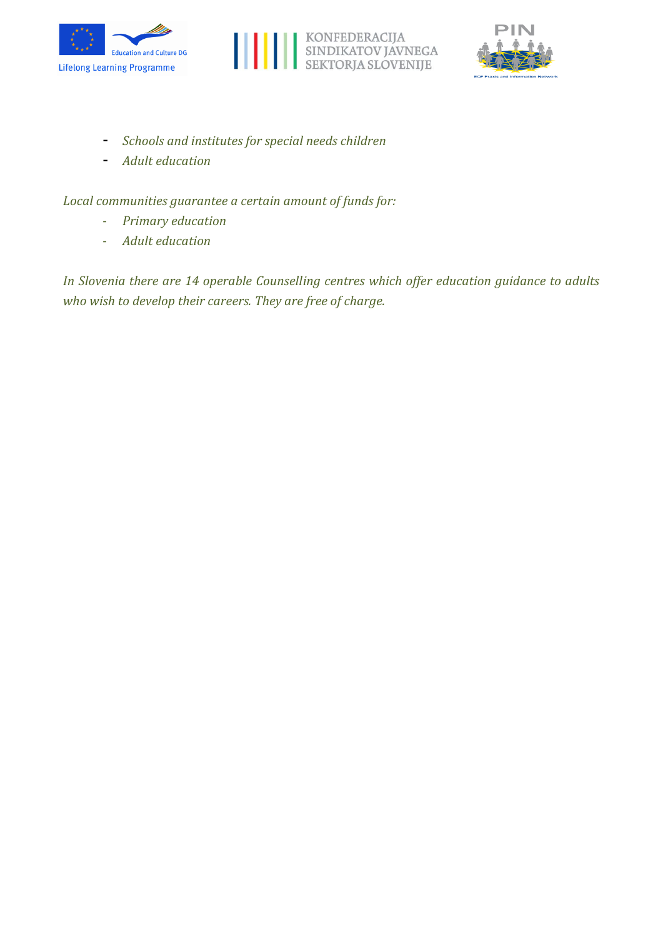





- *Schools and institutes for special needs children*
- *Adult education*

*Local communities guarantee a certain amount of funds for:*

- *Primary education*
- *Adult education*

*In Slovenia there are 14 operable Counselling centres which offer education guidance to adults who wish to develop their careers. They are free of charge.*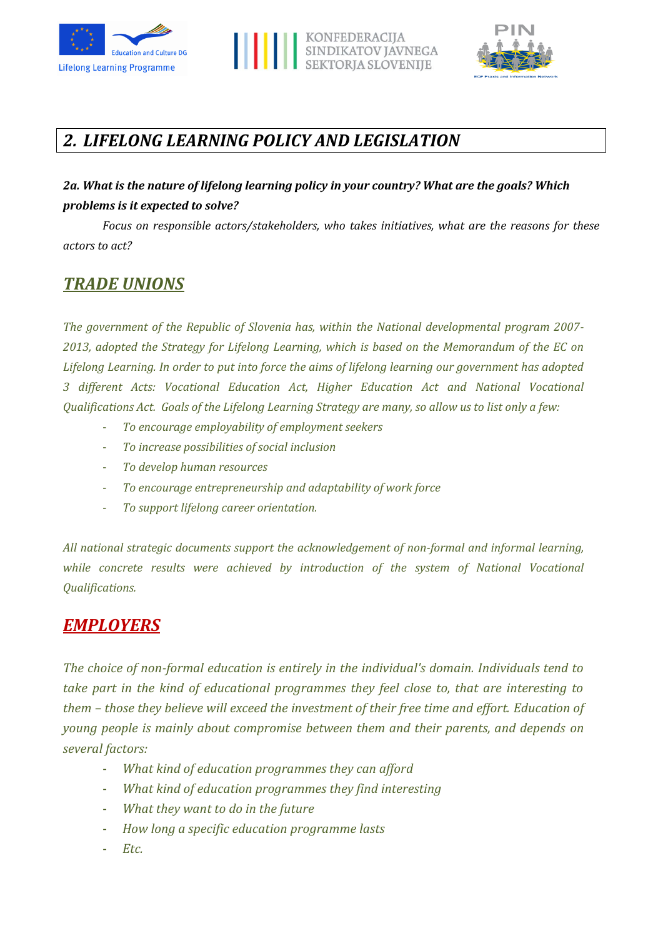





# *2. LIFELONG LEARNING POLICY AND LEGISLATION*

## *2a. What is the nature of lifelong learning policy in your country? What are the goals? Which problems is it expected to solve?*

*Focus on responsible actors/stakeholders, who takes initiatives, what are the reasons for these actors to act?*

## *TRADE UNIONS*

*The government of the Republic of Slovenia has, within the National developmental program 2007- 2013, adopted the Strategy for Lifelong Learning, which is based on the Memorandum of the EC on Lifelong Learning. In order to put into force the aims of lifelong learning our government has adopted 3 different Acts: Vocational Education Act, Higher Education Act and National Vocational Qualifications Act. Goals of the Lifelong Learning Strategy are many, so allow us to list only a few:*

- *To encourage employability of employment seekers*
- *To increase possibilities of social inclusion*
- *To develop human resources*
- *To encourage entrepreneurship and adaptability of work force*
- *To support lifelong career orientation.*

*All national strategic documents support the acknowledgement of non-formal and informal learning, while concrete results were achieved by introduction of the system of National Vocational Qualifications.*

## *EMPLOYERS*

*The choice of non-formal education is entirely in the individual's domain. Individuals tend to take part in the kind of educational programmes they feel close to, that are interesting to them – those they believe will exceed the investment of their free time and effort. Education of young people is mainly about compromise between them and their parents, and depends on several factors:*

- *What kind of education programmes they can afford*
- *What kind of education programmes they find interesting*
- *What they want to do in the future*
- *How long a specific education programme lasts*
- *Etc.*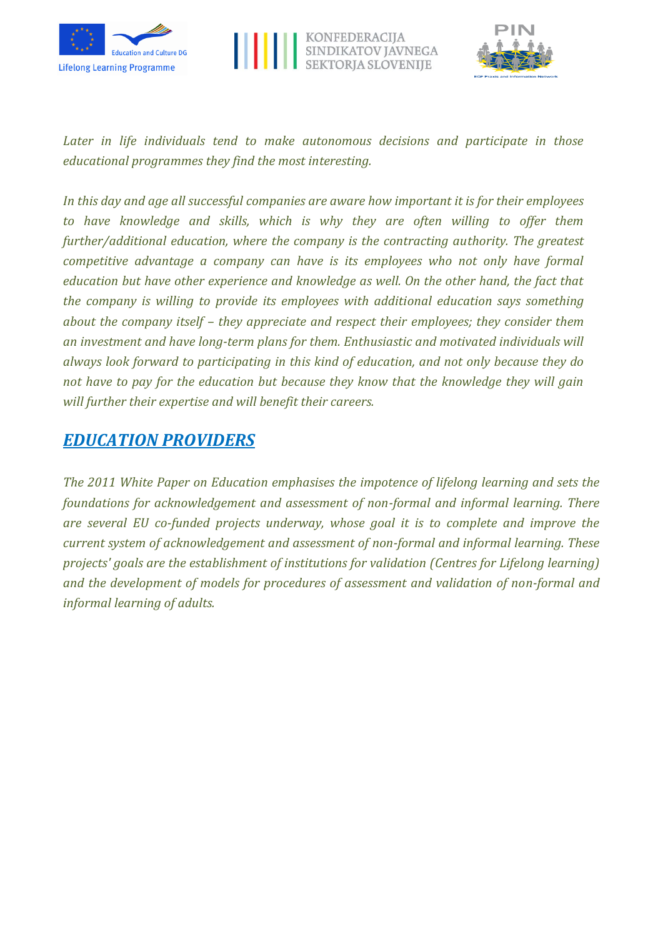





*Later in life individuals tend to make autonomous decisions and participate in those educational programmes they find the most interesting.*

*In this day and age all successful companies are aware how important it is for their employees to have knowledge and skills, which is why they are often willing to offer them further/additional education, where the company is the contracting authority. The greatest competitive advantage a company can have is its employees who not only have formal education but have other experience and knowledge as well. On the other hand, the fact that the company is willing to provide its employees with additional education says something about the company itself – they appreciate and respect their employees; they consider them an investment and have long-term plans for them. Enthusiastic and motivated individuals will always look forward to participating in this kind of education, and not only because they do not have to pay for the education but because they know that the knowledge they will gain will further their expertise and will benefit their careers.*

## *EDUCATION PROVIDERS*

*The 2011 White Paper on Education emphasises the impotence of lifelong learning and sets the foundations for acknowledgement and assessment of non-formal and informal learning. There are several EU co-funded projects underway, whose goal it is to complete and improve the current system of acknowledgement and assessment of non-formal and informal learning. These projects' goals are the establishment of institutions for validation (Centres for Lifelong learning) and the development of models for procedures of assessment and validation of non-formal and informal learning of adults.*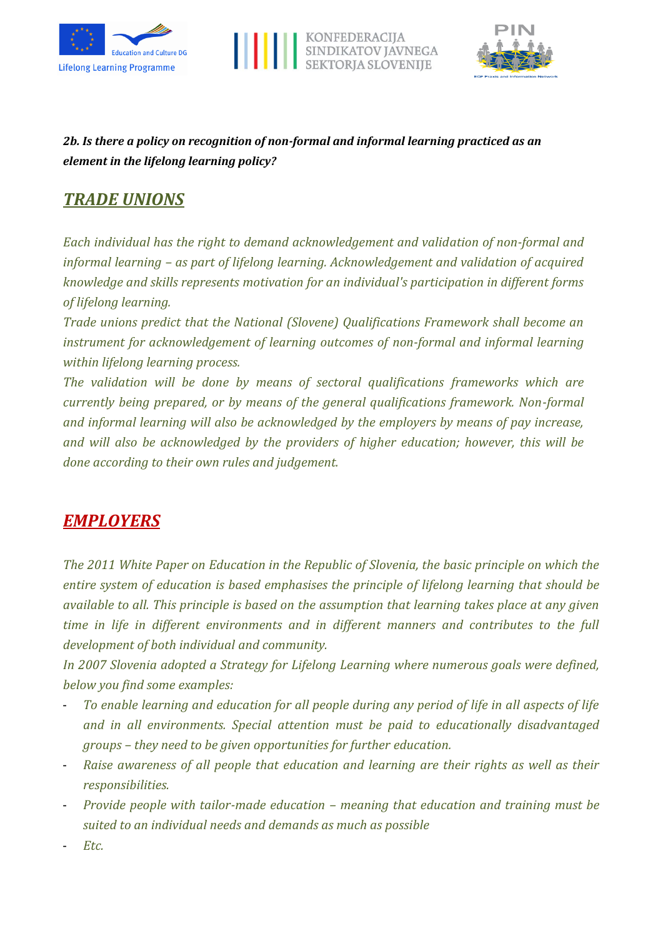





## *2b. Is there a policy on recognition of non-formal and informal learning practiced as an element in the lifelong learning policy?*

# *TRADE UNIONS*

*Each individual has the right to demand acknowledgement and validation of non-formal and informal learning – as part of lifelong learning. Acknowledgement and validation of acquired knowledge and skills represents motivation for an individual's participation in different forms of lifelong learning.*

*Trade unions predict that the National (Slovene) Qualifications Framework shall become an instrument for acknowledgement of learning outcomes of non-formal and informal learning within lifelong learning process.* 

*The validation will be done by means of sectoral qualifications frameworks which are currently being prepared, or by means of the general qualifications framework. Non-formal and informal learning will also be acknowledged by the employers by means of pay increase, and will also be acknowledged by the providers of higher education; however, this will be done according to their own rules and judgement.*

# *EMPLOYERS*

*The 2011 White Paper on Education in the Republic of Slovenia, the basic principle on which the entire system of education is based emphasises the principle of lifelong learning that should be available to all. This principle is based on the assumption that learning takes place at any given time in life in different environments and in different manners and contributes to the full development of both individual and community.*

*In 2007 Slovenia adopted a Strategy for Lifelong Learning where numerous goals were defined, below you find some examples:*

- *To enable learning and education for all people during any period of life in all aspects of life and in all environments. Special attention must be paid to educationally disadvantaged groups – they need to be given opportunities for further education.*
- *Raise awareness of all people that education and learning are their rights as well as their responsibilities.*
- *Provide people with tailor-made education – meaning that education and training must be suited to an individual needs and demands as much as possible*
- *Etc.*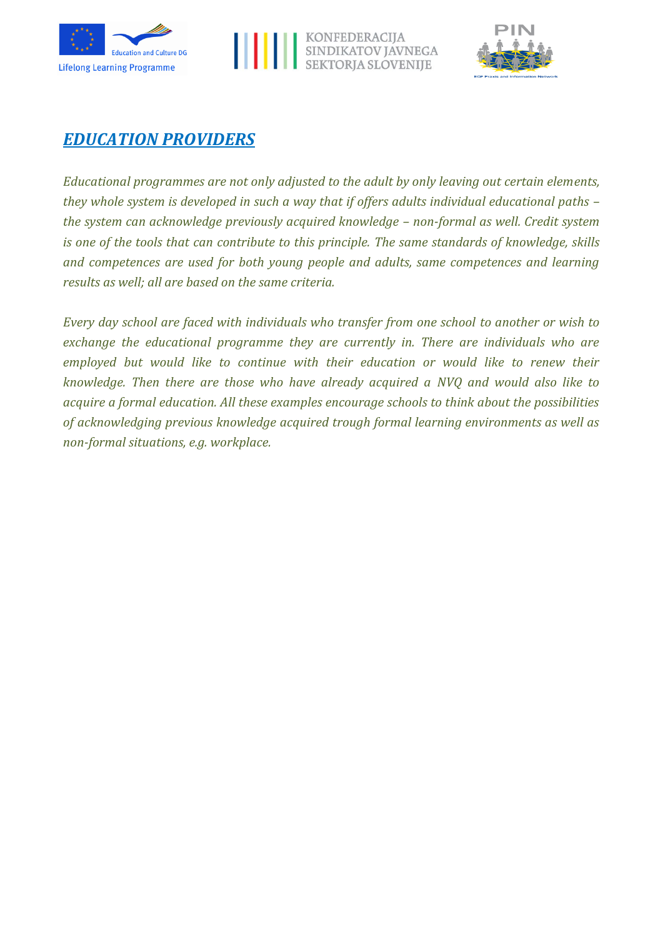





## *EDUCATION PROVIDERS*

*Educational programmes are not only adjusted to the adult by only leaving out certain elements, they whole system is developed in such a way that if offers adults individual educational paths – the system can acknowledge previously acquired knowledge – non-formal as well. Credit system is one of the tools that can contribute to this principle. The same standards of knowledge, skills and competences are used for both young people and adults, same competences and learning results as well; all are based on the same criteria.*

*Every day school are faced with individuals who transfer from one school to another or wish to*  exchange the educational programme they are currently in. There are individuals who are employed but would like to continue with their education or would like to renew their *knowledge. Then there are those who have already acquired a NVQ and would also like to acquire a formal education. All these examples encourage schools to think about the possibilities of acknowledging previous knowledge acquired trough formal learning environments as well as non-formal situations, e.g. workplace.*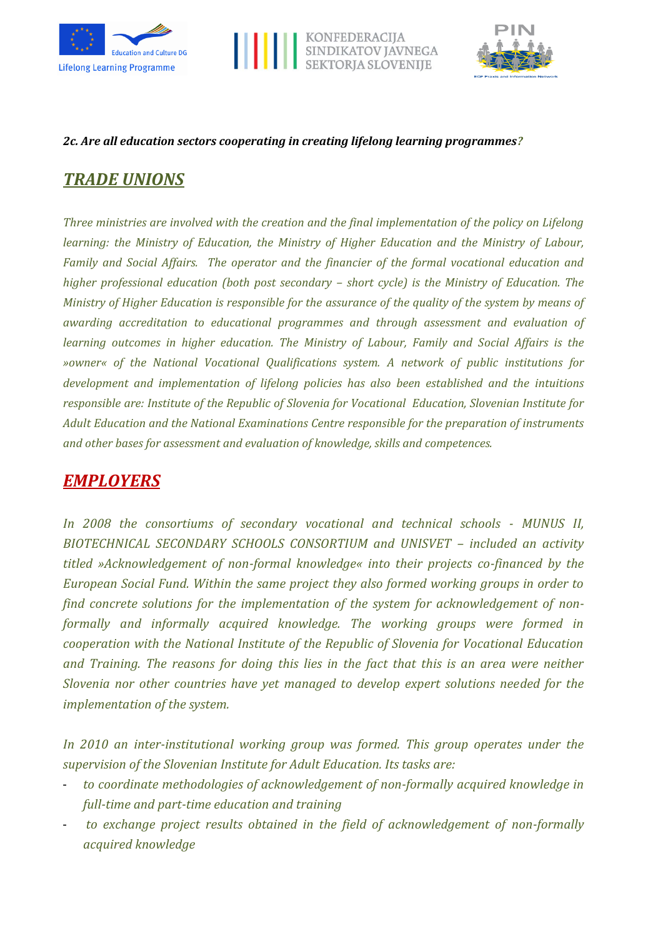





#### *2c. Are all education sectors cooperating in creating lifelong learning programmes?*

# *TRADE UNIONS*

*Three ministries are involved with the creation and the final implementation of the policy on Lifelong learning: the Ministry of Education, the Ministry of Higher Education and the Ministry of Labour, Family and Social Affairs. The operator and the financier of the formal vocational education and higher professional education (both post secondary – short cycle) is the Ministry of Education. The Ministry of Higher Education is responsible for the assurance of the quality of the system by means of awarding accreditation to educational programmes and through assessment and evaluation of learning outcomes in higher education. The Ministry of Labour, Family and Social Affairs is the »owner« of the National Vocational Qualifications system. A network of public institutions for development and implementation of lifelong policies has also been established and the intuitions responsible are: Institute of the Republic of Slovenia for Vocational Education, Slovenian Institute for Adult Education and the National Examinations Centre responsible for the preparation of instruments and other bases for assessment and evaluation of knowledge, skills and competences.*

# *EMPLOYERS*

*In 2008 the consortiums of secondary vocational and technical schools - MUNUS II, BIOTECHNICAL SECONDARY SCHOOLS CONSORTIUM and UNISVET – included an activity titled »Acknowledgement of non-formal knowledge« into their projects co-financed by the European Social Fund. Within the same project they also formed working groups in order to find concrete solutions for the implementation of the system for acknowledgement of nonformally and informally acquired knowledge. The working groups were formed in cooperation with the National Institute of the Republic of Slovenia for Vocational Education and Training. The reasons for doing this lies in the fact that this is an area were neither Slovenia nor other countries have yet managed to develop expert solutions needed for the implementation of the system.*

*In 2010 an inter-institutional working group was formed. This group operates under the supervision of the Slovenian Institute for Adult Education. Its tasks are:*

- *to coordinate methodologies of acknowledgement of non-formally acquired knowledge in full-time and part-time education and training*
- to exchange project results obtained in the field of acknowledgement of non-formally *acquired knowledge*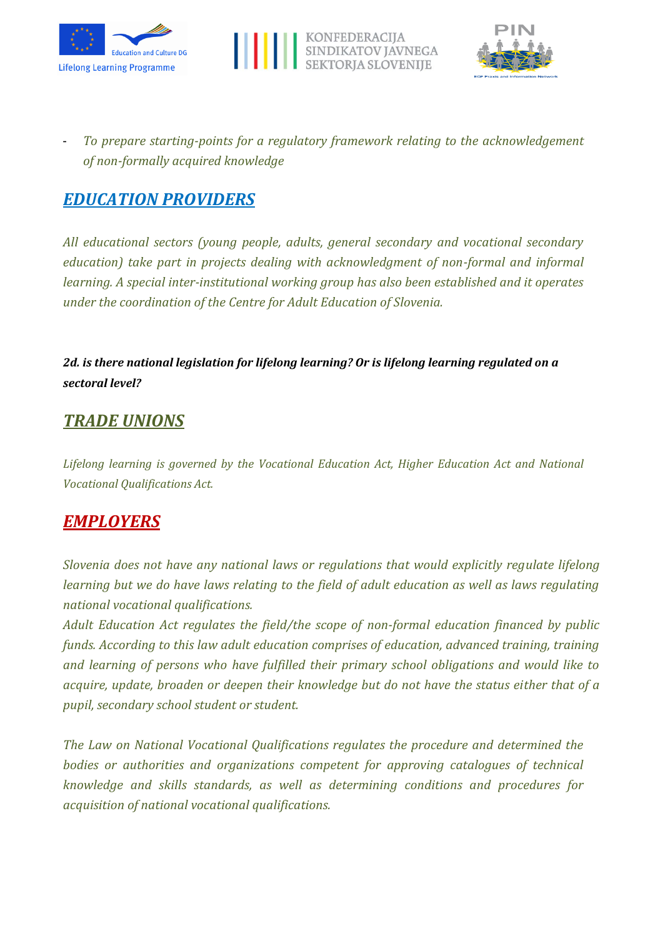





- *To prepare starting-points for a regulatory framework relating to the acknowledgement of non-formally acquired knowledge* 

# *EDUCATION PROVIDERS*

*All educational sectors (young people, adults, general secondary and vocational secondary education) take part in projects dealing with acknowledgment of non-formal and informal learning. A special inter-institutional working group has also been established and it operates under the coordination of the Centre for Adult Education of Slovenia.*

*2d. is there national legislation for lifelong learning? Or is lifelong learning regulated on a sectoral level?*

## *TRADE UNIONS*

*Lifelong learning is governed by the Vocational Education Act, Higher Education Act and National Vocational Qualifications Act.*

## *EMPLOYERS*

*Slovenia does not have any national laws or regulations that would explicitly regulate lifelong learning but we do have laws relating to the field of adult education as well as laws regulating national vocational qualifications.*

*Adult Education Act regulates the field/the scope of non-formal education financed by public funds. According to this law adult education comprises of education, advanced training, training and learning of persons who have fulfilled their primary school obligations and would like to acquire, update, broaden or deepen their knowledge but do not have the status either that of a pupil, secondary school student or student.*

*The Law on National Vocational Qualifications regulates the procedure and determined the bodies or authorities and organizations competent for approving catalogues of technical knowledge and skills standards, as well as determining conditions and procedures for acquisition of national vocational qualifications.*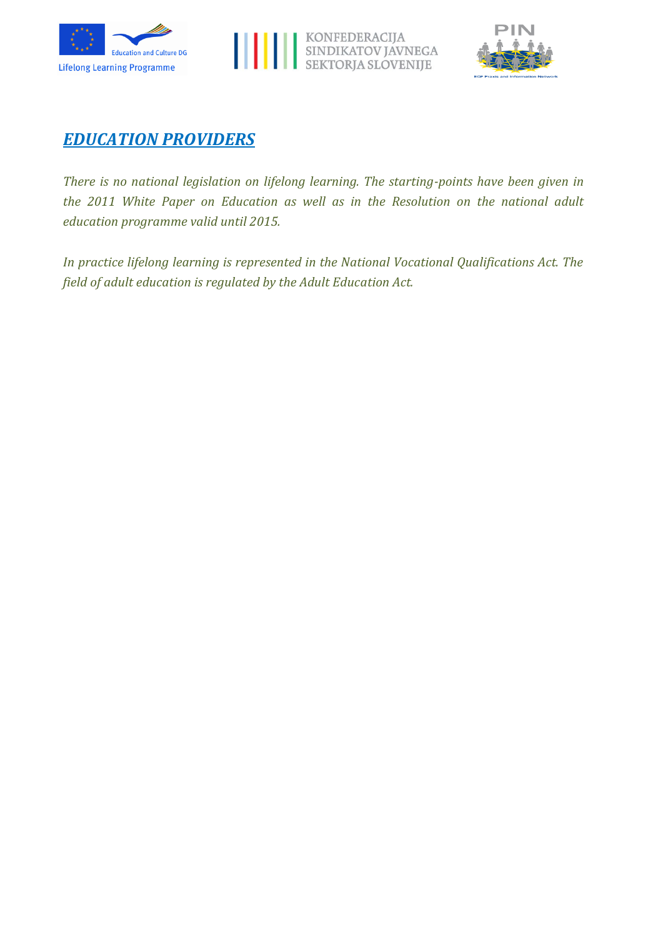





## *EDUCATION PROVIDERS*

*There is no national legislation on lifelong learning. The starting-points have been given in the 2011 White Paper on Education as well as in the Resolution on the national adult education programme valid until 2015.* 

*In practice lifelong learning is represented in the National Vocational Qualifications Act. The field of adult education is regulated by the Adult Education Act.*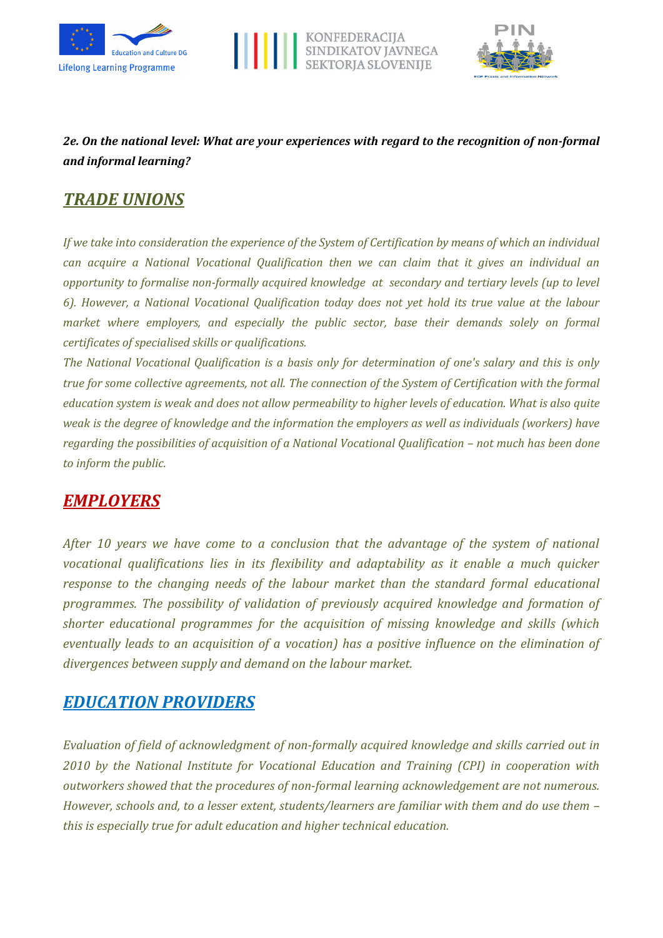





## *2e. On the national level: What are your experiences with regard to the recognition of non-formal and informal learning?*

# *TRADE UNIONS*

*If we take into consideration the experience of the System of Certification by means of which an individual can acquire a National Vocational Qualification then we can claim that it gives an individual an opportunity to formalise non-formally acquired knowledge at secondary and tertiary levels (up to level 6). However, a National Vocational Qualification today does not yet hold its true value at the labour market where employers, and especially the public sector, base their demands solely on formal certificates of specialised skills or qualifications.* 

*The National Vocational Qualification is a basis only for determination of one's salary and this is only true for some collective agreements, not all. The connection of the System of Certification with the formal education system is weak and does not allow permeability to higher levels of education. What is also quite weak is the degree of knowledge and the information the employers as well as individuals (workers) have regarding the possibilities of acquisition of a National Vocational Qualification – not much has been done to inform the public.*

## *EMPLOYERS*

*After 10 years we have come to a conclusion that the advantage of the system of national vocational qualifications lies in its flexibility and adaptability as it enable a much quicker response to the changing needs of the labour market than the standard formal educational programmes. The possibility of validation of previously acquired knowledge and formation of shorter educational programmes for the acquisition of missing knowledge and skills (which eventually leads to an acquisition of a vocation) has a positive influence on the elimination of divergences between supply and demand on the labour market.*

## *EDUCATION PROVIDERS*

*Evaluation of field of acknowledgment of non-formally acquired knowledge and skills carried out in 2010 by the National Institute for Vocational Education and Training (CPI) in cooperation with outworkers showed that the procedures of non-formal learning acknowledgement are not numerous. However, schools and, to a lesser extent, students/learners are familiar with them and do use them – this is especially true for adult education and higher technical education.*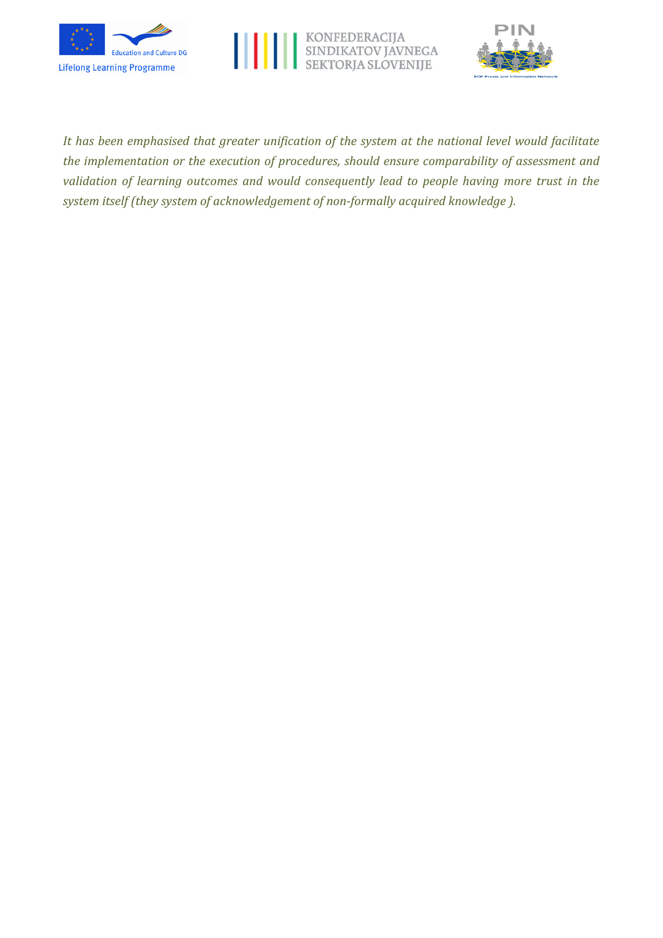





*It has been emphasised that greater unification of the system at the national level would facilitate the implementation or the execution of procedures, should ensure comparability of assessment and validation of learning outcomes and would consequently lead to people having more trust in the system itself (they system of acknowledgement of non-formally acquired knowledge ).*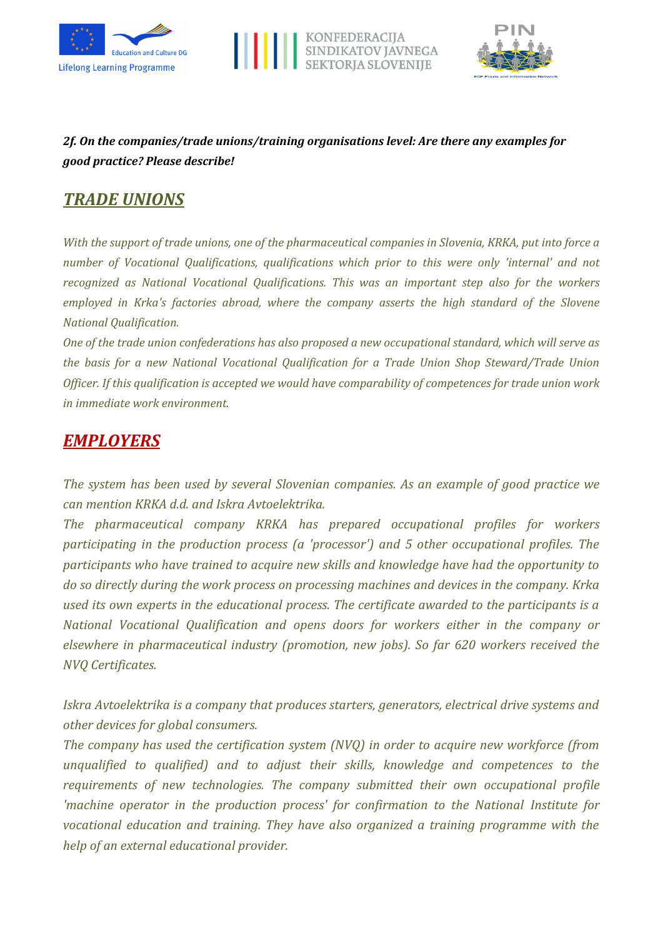





## *2f. On the companies/trade unions/training organisations level: Are there any examples for good practice? Please describe!*

## *TRADE UNIONS*

*With the support of trade unions, one of the pharmaceutical companies in Slovenia, KRKA, put into force a number of Vocational Qualifications, qualifications which prior to this were only 'internal' and not recognized as National Vocational Qualifications. This was an important step also for the workers employed in Krka's factories abroad, where the company asserts the high standard of the Slovene National Qualification.*

*One of the trade union confederations has also proposed a new occupational standard, which will serve as the basis for a new National Vocational Qualification for a Trade Union Shop Steward/Trade Union Officer. If this qualification is accepted we would have comparability of competences for trade union work in immediate work environment.*

# *EMPLOYERS*

*The system has been used by several Slovenian companies. As an example of good practice we can mention KRKA d.d. and Iskra Avtoelektrika.*

*The pharmaceutical company KRKA has prepared occupational profiles for workers participating in the production process (a 'processor') and 5 other occupational profiles. The participants who have trained to acquire new skills and knowledge have had the opportunity to do so directly during the work process on processing machines and devices in the company. Krka used its own experts in the educational process. The certificate awarded to the participants is a National Vocational Qualification and opens doors for workers either in the company or elsewhere in pharmaceutical industry (promotion, new jobs). So far 620 workers received the NVQ Certificates.*

*Iskra Avtoelektrika is a company that produces starters, generators, electrical drive systems and other devices for global consumers.*

*The company has used the certification system (NVQ) in order to acquire new workforce (from unqualified to qualified) and to adjust their skills, knowledge and competences to the requirements of new technologies. The company submitted their own occupational profile 'machine operator in the production process' for confirmation to the National Institute for vocational education and training. They have also organized a training programme with the help of an external educational provider.*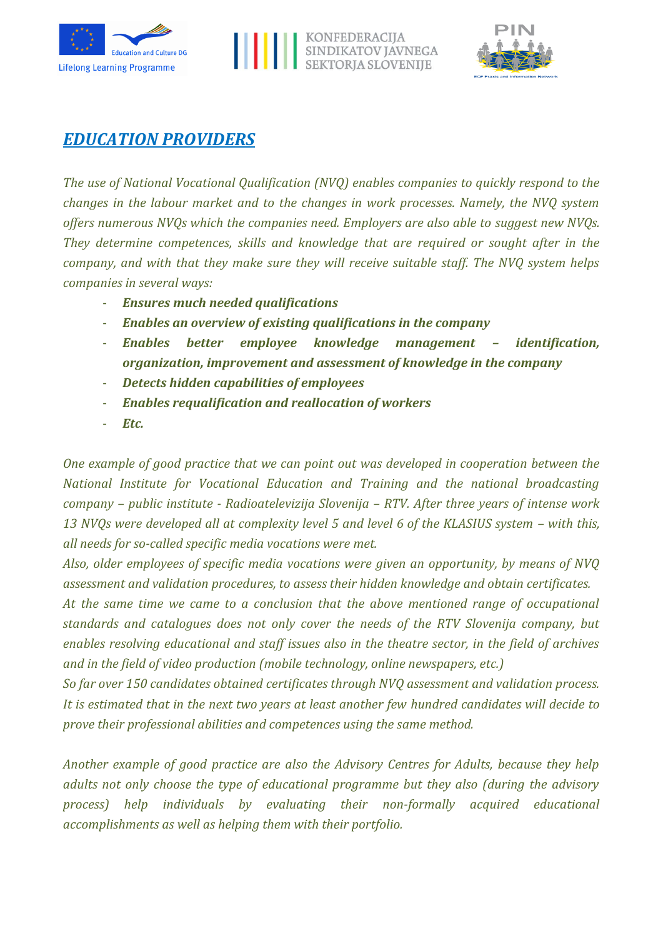





## *EDUCATION PROVIDERS*

*The use of National Vocational Qualification (NVQ) enables companies to quickly respond to the changes in the labour market and to the changes in work processes. Namely, the NVQ system offers numerous NVQs which the companies need. Employers are also able to suggest new NVQs. They determine competences, skills and knowledge that are required or sought after in the company, and with that they make sure they will receive suitable staff. The NVQ system helps companies in several ways:*

- *Ensures much needed qualifications*
- *Enables an overview of existing qualifications in the company*
- *Enables better employee knowledge management – identification, organization, improvement and assessment of knowledge in the company*
- *Detects hidden capabilities of employees*
- *Enables requalification and reallocation of workers*
- *Etc.*

*One example of good practice that we can point out was developed in cooperation between the National Institute for Vocational Education and Training and the national broadcasting company – public institute - Radioatelevizija Slovenija – RTV. After three years of intense work*  13 NVQs were developed all at complexity level 5 and level 6 of the KLASIUS system – with this, *all needs for so-called specific media vocations were met.* 

*Also, older employees of specific media vocations were given an opportunity, by means of NVQ assessment and validation procedures, to assess their hidden knowledge and obtain certificates.*

*At the same time we came to a conclusion that the above mentioned range of occupational standards and catalogues does not only cover the needs of the RTV Slovenija company, but enables resolving educational and staff issues also in the theatre sector, in the field of archives and in the field of video production (mobile technology, online newspapers, etc.)*

*So far over 150 candidates obtained certificates through NVQ assessment and validation process. It is estimated that in the next two years at least another few hundred candidates will decide to prove their professional abilities and competences using the same method.*

*Another example of good practice are also the Advisory Centres for Adults, because they help adults not only choose the type of educational programme but they also (during the advisory process) help individuals by evaluating their non-formally acquired educational accomplishments as well as helping them with their portfolio.*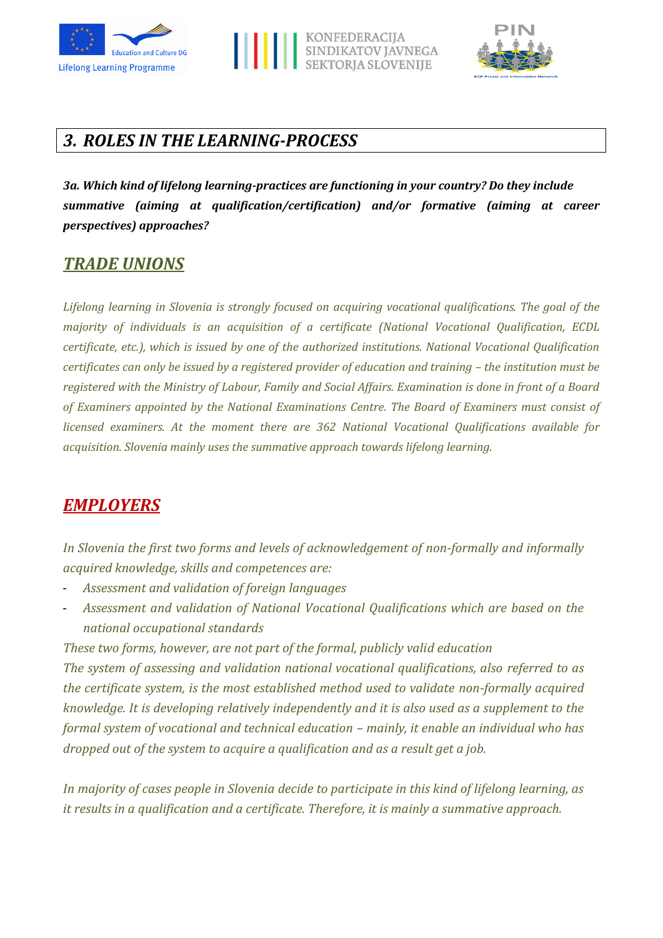





# *3. ROLES IN THE LEARNING-PROCESS*

*3a. Which kind of lifelong learning-practices are functioning in your country? Do they include summative (aiming at qualification/certification) and/or formative (aiming at career perspectives) approaches?*

## *TRADE UNIONS*

*Lifelong learning in Slovenia is strongly focused on acquiring vocational qualifications. The goal of the majority of individuals is an acquisition of a certificate (National Vocational Qualification, ECDL certificate, etc.), which is issued by one of the authorized institutions. National Vocational Qualification certificates can only be issued by a registered provider of education and training – the institution must be registered with the Ministry of Labour, Family and Social Affairs. Examination is done in front of a Board of Examiners appointed by the National Examinations Centre. The Board of Examiners must consist of licensed examiners. At the moment there are 362 National Vocational Qualifications available for acquisition. Slovenia mainly uses the summative approach towards lifelong learning.*

## *EMPLOYERS*

*In Slovenia the first two forms and levels of acknowledgement of non-formally and informally acquired knowledge, skills and competences are:*

- *Assessment and validation of foreign languages*
- *Assessment and validation of National Vocational Qualifications which are based on the national occupational standards*

*These two forms, however, are not part of the formal, publicly valid education*

*The system of assessing and validation national vocational qualifications, also referred to as the certificate system, is the most established method used to validate non-formally acquired knowledge. It is developing relatively independently and it is also used as a supplement to the formal system of vocational and technical education – mainly, it enable an individual who has dropped out of the system to acquire a qualification and as a result get a job.*

*In majority of cases people in Slovenia decide to participate in this kind of lifelong learning, as it results in a qualification and a certificate. Therefore, it is mainly a summative approach.*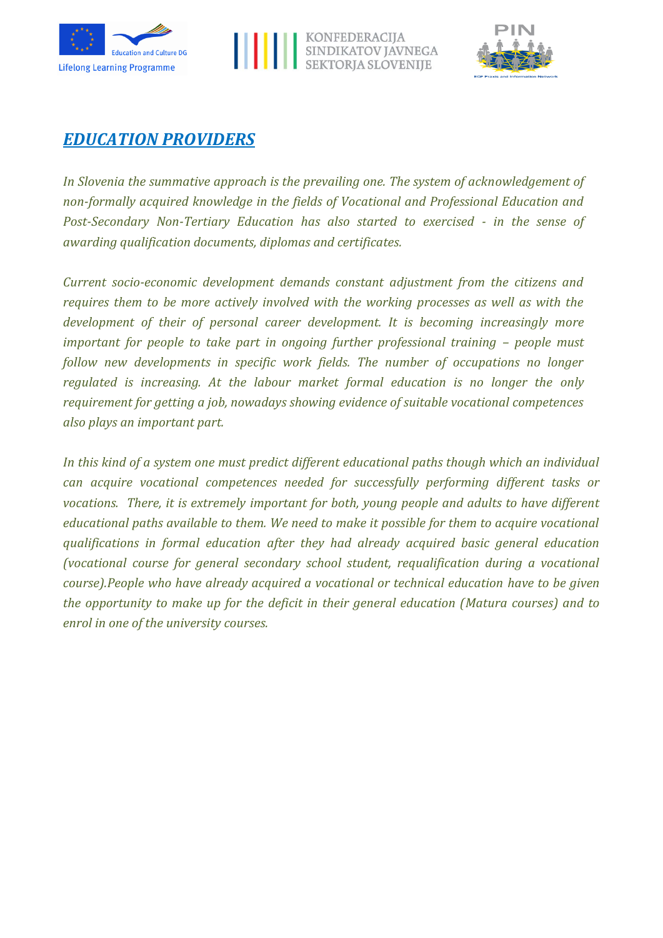





## *EDUCATION PROVIDERS*

*In Slovenia the summative approach is the prevailing one. The system of acknowledgement of non-formally acquired knowledge in the fields of Vocational and Professional Education and Post-Secondary Non-Tertiary Education has also started to exercised - in the sense of awarding qualification documents, diplomas and certificates.*

*Current socio-economic development demands constant adjustment from the citizens and requires them to be more actively involved with the working processes as well as with the development of their of personal career development. It is becoming increasingly more important for people to take part in ongoing further professional training – people must follow new developments in specific work fields. The number of occupations no longer regulated is increasing. At the labour market formal education is no longer the only requirement for getting a job, nowadays showing evidence of suitable vocational competences also plays an important part.*

*In this kind of a system one must predict different educational paths though which an individual can acquire vocational competences needed for successfully performing different tasks or vocations. There, it is extremely important for both, young people and adults to have different educational paths available to them. We need to make it possible for them to acquire vocational qualifications in formal education after they had already acquired basic general education (vocational course for general secondary school student, requalification during a vocational course).People who have already acquired a vocational or technical education have to be given the opportunity to make up for the deficit in their general education (Matura courses) and to enrol in one of the university courses.*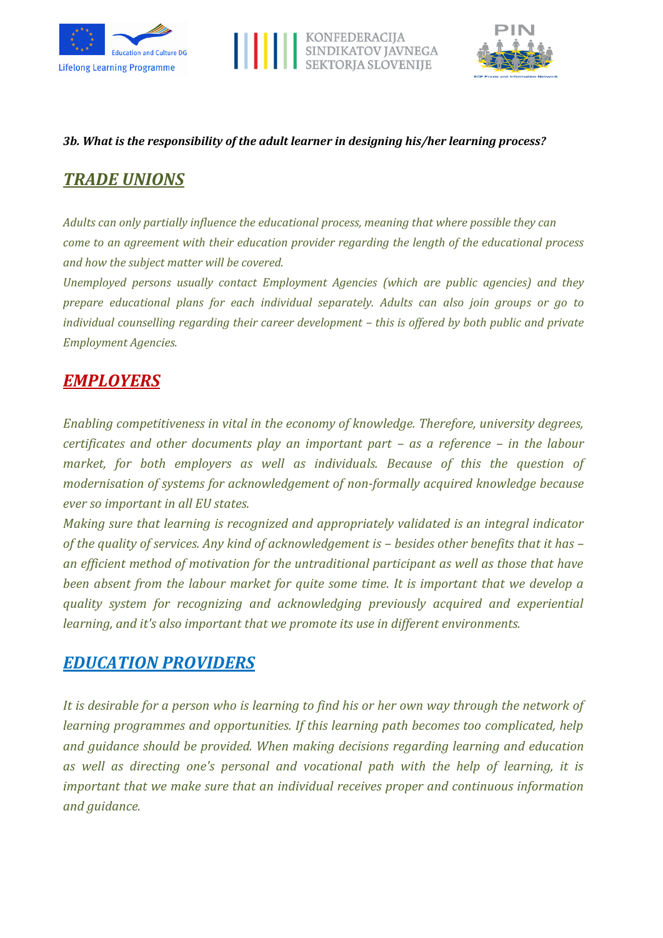





#### *3b. What is the responsibility of the adult learner in designing his/her learning process?*

# *TRADE UNIONS*

*Adults can only partially influence the educational process, meaning that where possible they can come to an agreement with their education provider regarding the length of the educational process and how the subject matter will be covered.* 

*Unemployed persons usually contact Employment Agencies (which are public agencies) and they prepare educational plans for each individual separately. Adults can also join groups or go to individual counselling regarding their career development – this is offered by both public and private Employment Agencies.*

# *EMPLOYERS*

*Enabling competitiveness in vital in the economy of knowledge. Therefore, university degrees, certificates and other documents play an important part – as a reference – in the labour market, for both employers as well as individuals. Because of this the question of modernisation of systems for acknowledgement of non-formally acquired knowledge because ever so important in all EU states.*

*Making sure that learning is recognized and appropriately validated is an integral indicator of the quality of services. Any kind of acknowledgement is – besides other benefits that it has – an efficient method of motivation for the untraditional participant as well as those that have been absent from the labour market for quite some time. It is important that we develop a quality system for recognizing and acknowledging previously acquired and experiential learning, and it's also important that we promote its use in different environments.*

## *EDUCATION PROVIDERS*

*It is desirable for a person who is learning to find his or her own way through the network of learning programmes and opportunities. If this learning path becomes too complicated, help and guidance should be provided. When making decisions regarding learning and education as well as directing one's personal and vocational path with the help of learning, it is important that we make sure that an individual receives proper and continuous information and guidance.*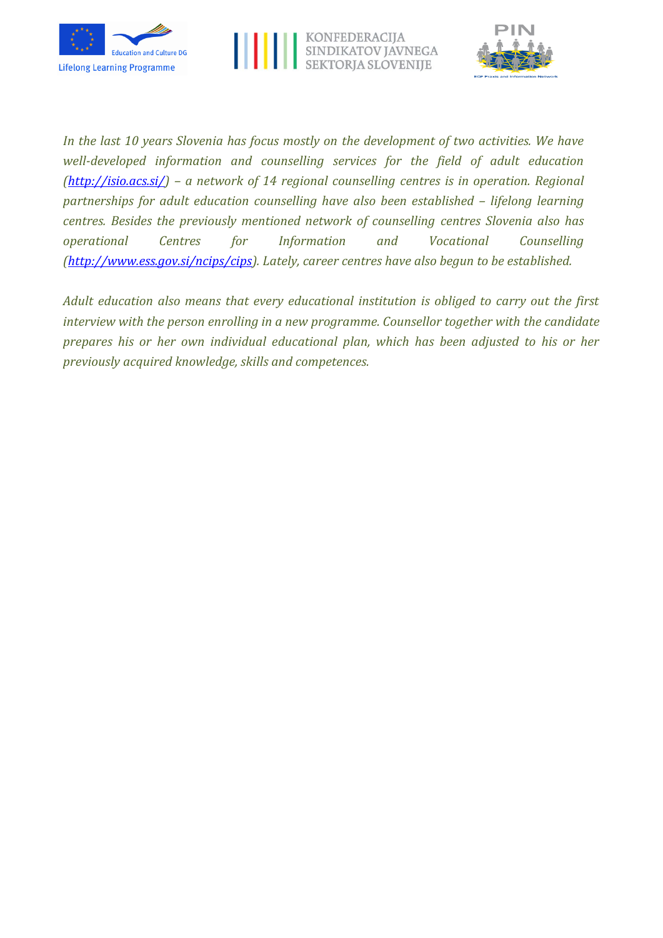





*In the last 10 years Slovenia has focus mostly on the development of two activities. We have well-developed information and counselling services for the field of adult education [\(http://isio.acs.si/\)](http://isio.acs.si/) – a network of 14 regional counselling centres is in operation. Regional partnerships for adult education counselling have also been established – lifelong learning centres. Besides the previously mentioned network of counselling centres Slovenia also has operational Centres for Information and Vocational Counselling [\(http://www.ess.gov.si/ncips/cips\)](http://www.ess.gov.si/ncips/cips). Lately, career centres have also begun to be established.*

*Adult education also means that every educational institution is obliged to carry out the first interview with the person enrolling in a new programme. Counsellor together with the candidate prepares his or her own individual educational plan, which has been adjusted to his or her previously acquired knowledge, skills and competences.*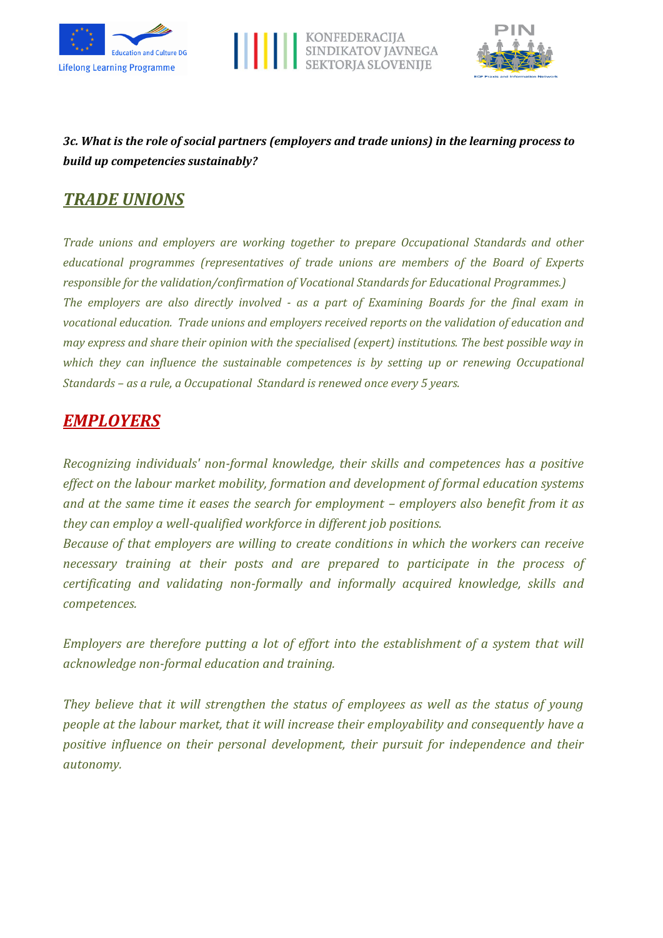





## *3c. What is the role of social partners (employers and trade unions) in the learning process to build up competencies sustainably?*

## *TRADE UNIONS*

*Trade unions and employers are working together to prepare Occupational Standards and other educational programmes (representatives of trade unions are members of the Board of Experts responsible for the validation/confirmation of Vocational Standards for Educational Programmes.) The employers are also directly involved - as a part of Examining Boards for the final exam in vocational education. Trade unions and employers received reports on the validation of education and may express and share their opinion with the specialised (expert) institutions. The best possible way in which they can influence the sustainable competences is by setting up or renewing Occupational Standards – as a rule, a Occupational Standard is renewed once every 5 years.*

## *EMPLOYERS*

*Recognizing individuals' non-formal knowledge, their skills and competences has a positive effect on the labour market mobility, formation and development of formal education systems and at the same time it eases the search for employment – employers also benefit from it as they can employ a well-qualified workforce in different job positions.* 

*Because of that employers are willing to create conditions in which the workers can receive necessary training at their posts and are prepared to participate in the process of certificating and validating non-formally and informally acquired knowledge, skills and competences.*

*Employers are therefore putting a lot of effort into the establishment of a system that will acknowledge non-formal education and training.*

*They believe that it will strengthen the status of employees as well as the status of young people at the labour market, that it will increase their employability and consequently have a positive influence on their personal development, their pursuit for independence and their autonomy.*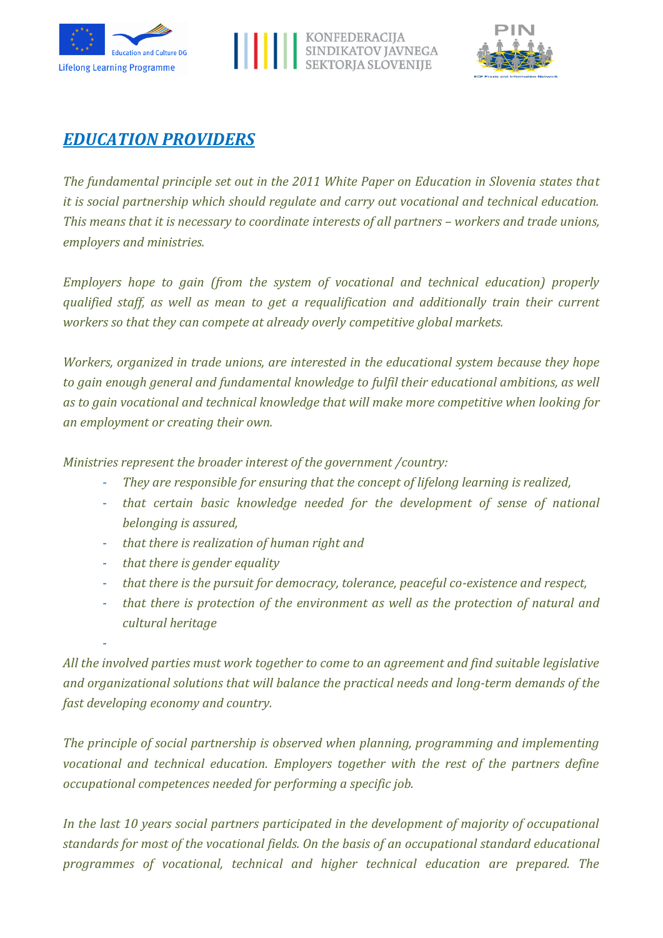





## *EDUCATION PROVIDERS*

*The fundamental principle set out in the 2011 White Paper on Education in Slovenia states that it is social partnership which should regulate and carry out vocational and technical education. This means that it is necessary to coordinate interests of all partners – workers and trade unions, employers and ministries.*

*Employers hope to gain (from the system of vocational and technical education) properly qualified staff, as well as mean to get a requalification and additionally train their current workers so that they can compete at already overly competitive global markets.*

*Workers, organized in trade unions, are interested in the educational system because they hope to gain enough general and fundamental knowledge to fulfil their educational ambitions, as well as to gain vocational and technical knowledge that will make more competitive when looking for an employment or creating their own.* 

*Ministries represent the broader interest of the government /country:*

- *They are responsible for ensuring that the concept of lifelong learning is realized,*
- *that certain basic knowledge needed for the development of sense of national belonging is assured,*
- *that there is realization of human right and*
- *that there is gender equality*

-

- *that there is the pursuit for democracy, tolerance, peaceful co-existence and respect,*
- *that there is protection of the environment as well as the protection of natural and cultural heritage*

*All the involved parties must work together to come to an agreement and find suitable legislative and organizational solutions that will balance the practical needs and long-term demands of the fast developing economy and country.*

*The principle of social partnership is observed when planning, programming and implementing vocational and technical education. Employers together with the rest of the partners define occupational competences needed for performing a specific job.* 

*In the last 10 years social partners participated in the development of majority of occupational standards for most of the vocational fields. On the basis of an occupational standard educational programmes of vocational, technical and higher technical education are prepared. The*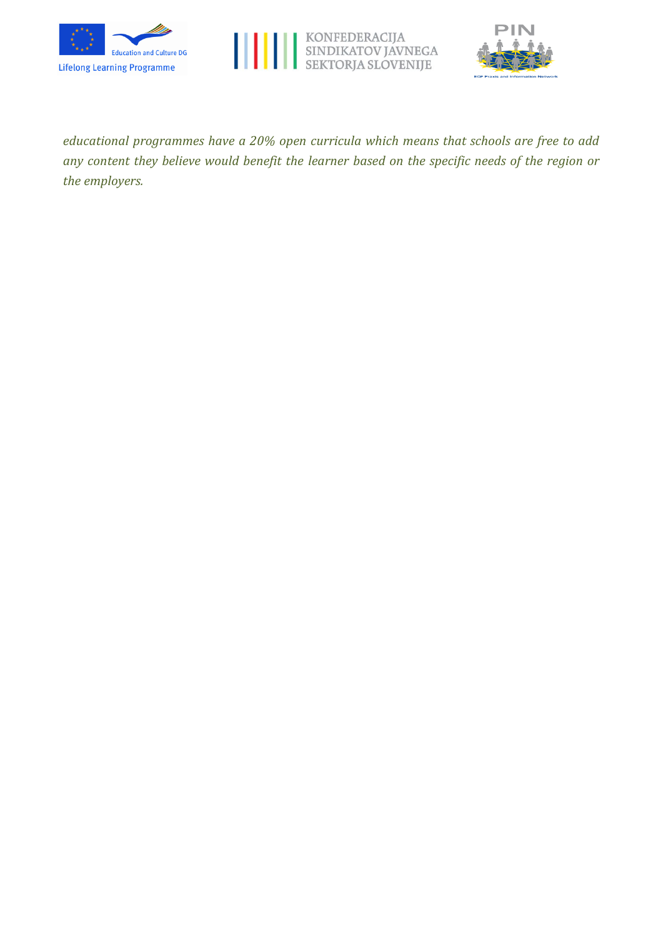





*educational programmes have a 20% open curricula which means that schools are free to add any content they believe would benefit the learner based on the specific needs of the region or the employers.*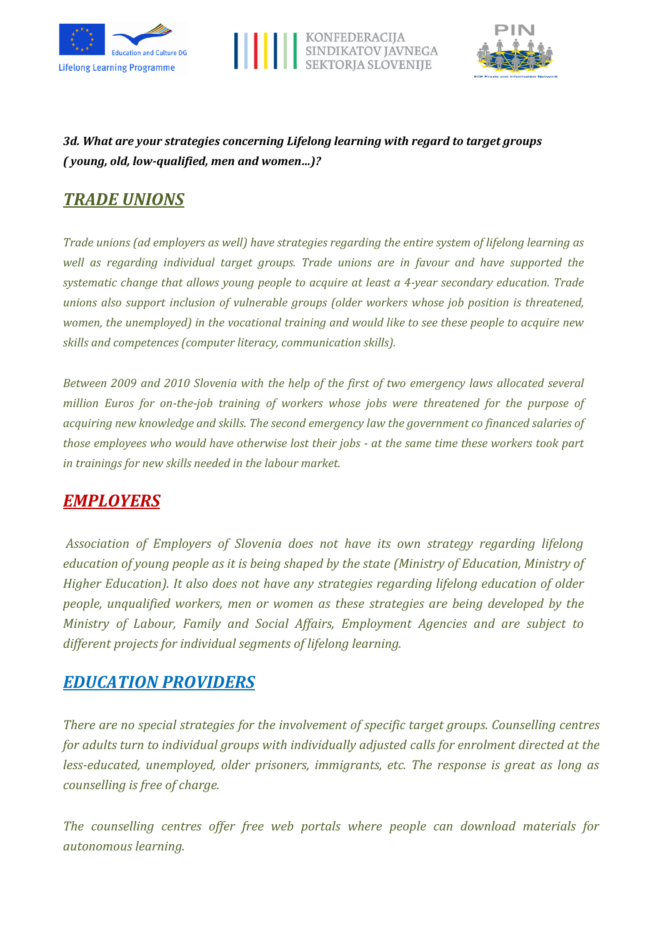





## *3d. What are your strategies concerning Lifelong learning with regard to target groups ( young, old, low-qualified, men and women…)?*

# *TRADE UNIONS*

*Trade unions (ad employers as well) have strategies regarding the entire system of lifelong learning as well as regarding individual target groups. Trade unions are in favour and have supported the systematic change that allows young people to acquire at least a 4-year secondary education. Trade unions also support inclusion of vulnerable groups (older workers whose job position is threatened, women, the unemployed) in the vocational training and would like to see these people to acquire new skills and competences (computer literacy, communication skills).* 

*Between 2009 and 2010 Slovenia with the help of the first of two emergency laws allocated several million Euros for on-the-job training of workers whose jobs were threatened for the purpose of acquiring new knowledge and skills. The second emergency law the government co financed salaries of those employees who would have otherwise lost their jobs - at the same time these workers took part in trainings for new skills needed in the labour market.*

## *EMPLOYERS*

*Association of Employers of Slovenia does not have its own strategy regarding lifelong education of young people as it is being shaped by the state (Ministry of Education, Ministry of Higher Education). It also does not have any strategies regarding lifelong education of older people, unqualified workers, men or women as these strategies are being developed by the Ministry of Labour, Family and Social Affairs, Employment Agencies and are subject to different projects for individual segments of lifelong learning.*

## *EDUCATION PROVIDERS*

*There are no special strategies for the involvement of specific target groups. Counselling centres for adults turn to individual groups with individually adjusted calls for enrolment directed at the less-educated, unemployed, older prisoners, immigrants, etc. The response is great as long as counselling is free of charge.*

*The counselling centres offer free web portals where people can download materials for autonomous learning.*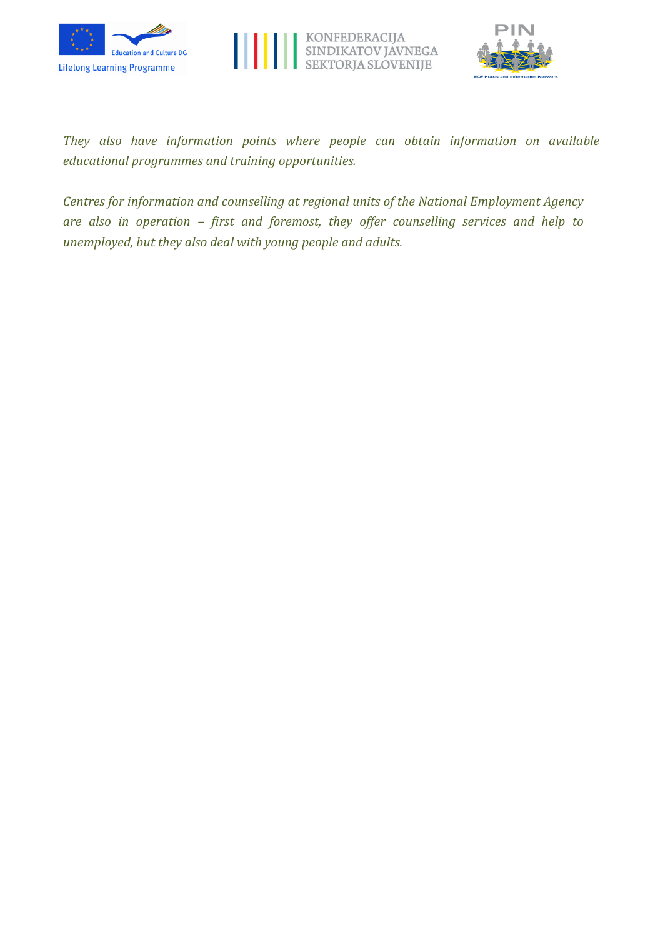





*They also have information points where people can obtain information on available educational programmes and training opportunities.* 

*Centres for information and counselling at regional units of the National Employment Agency are also in operation – first and foremost, they offer counselling services and help to unemployed, but they also deal with young people and adults.*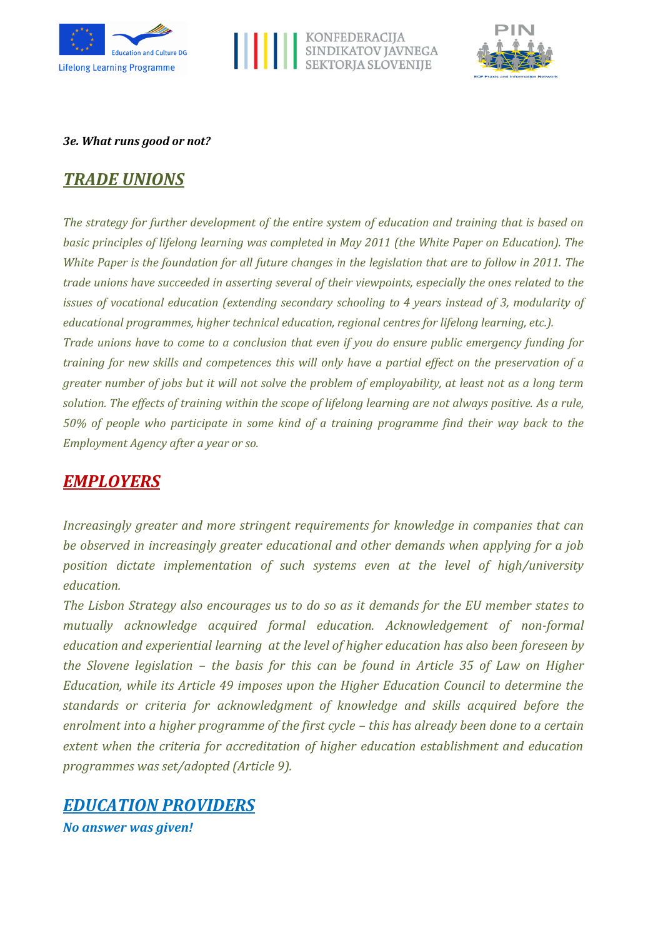





#### *3e. What runs good or not?*

## *TRADE UNIONS*

*The strategy for further development of the entire system of education and training that is based on basic principles of lifelong learning was completed in May 2011 (the White Paper on Education). The White Paper is the foundation for all future changes in the legislation that are to follow in 2011. The trade unions have succeeded in asserting several of their viewpoints, especially the ones related to the issues of vocational education (extending secondary schooling to 4 years instead of 3, modularity of educational programmes, higher technical education, regional centres for lifelong learning, etc.). Trade unions have to come to a conclusion that even if you do ensure public emergency funding for training for new skills and competences this will only have a partial effect on the preservation of a greater number of jobs but it will not solve the problem of employability, at least not as a long term solution. The effects of training within the scope of lifelong learning are not always positive. As a rule, 50% of people who participate in some kind of a training programme find their way back to the Employment Agency after a year or so.*

## *EMPLOYERS*

*Increasingly greater and more stringent requirements for knowledge in companies that can be observed in increasingly greater educational and other demands when applying for a job position dictate implementation of such systems even at the level of high/university education.*

*The Lisbon Strategy also encourages us to do so as it demands for the EU member states to mutually acknowledge acquired formal education. Acknowledgement of non-formal education and experiential learning at the level of higher education has also been foreseen by the Slovene legislation – the basis for this can be found in Article 35 of Law on Higher Education, while its Article 49 imposes upon the Higher Education Council to determine the standards or criteria for acknowledgment of knowledge and skills acquired before the enrolment into a higher programme of the first cycle – this has already been done to a certain extent when the criteria for accreditation of higher education establishment and education programmes was set/adopted (Article 9).*



*No answer was given!*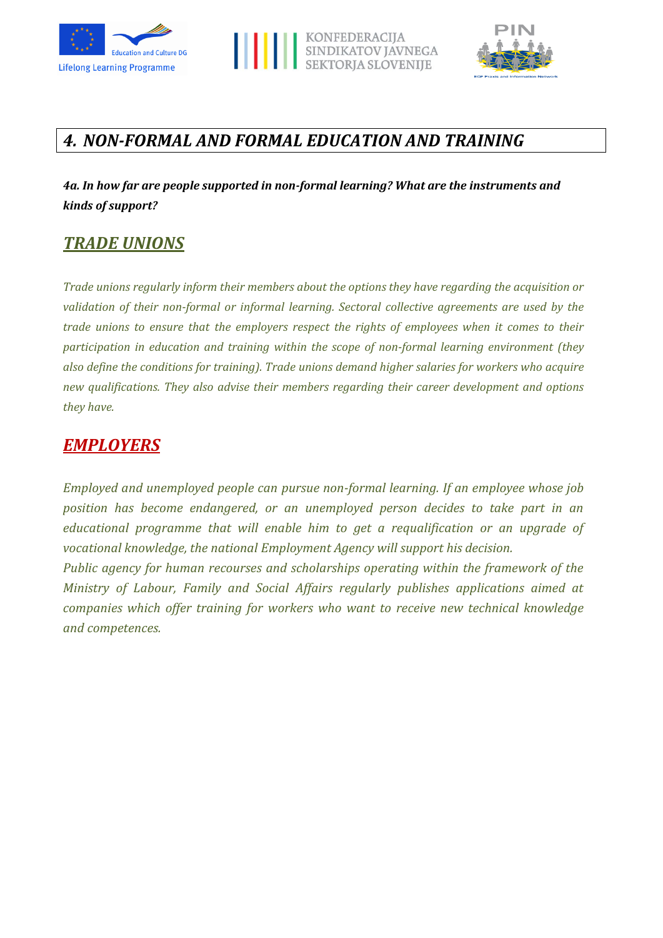





# *4. NON-FORMAL AND FORMAL EDUCATION AND TRAINING*

*4a. In how far are people supported in non-formal learning? What are the instruments and kinds of support?*

## *TRADE UNIONS*

*Trade unions regularly inform their members about the options they have regarding the acquisition or validation of their non-formal or informal learning. Sectoral collective agreements are used by the trade unions to ensure that the employers respect the rights of employees when it comes to their participation in education and training within the scope of non-formal learning environment (they also define the conditions for training). Trade unions demand higher salaries for workers who acquire new qualifications. They also advise their members regarding their career development and options they have.*

## *EMPLOYERS*

*Employed and unemployed people can pursue non-formal learning. If an employee whose job position has become endangered, or an unemployed person decides to take part in an educational programme that will enable him to get a requalification or an upgrade of vocational knowledge, the national Employment Agency will support his decision.*

*Public agency for human recourses and scholarships operating within the framework of the Ministry of Labour, Family and Social Affairs regularly publishes applications aimed at companies which offer training for workers who want to receive new technical knowledge and competences.*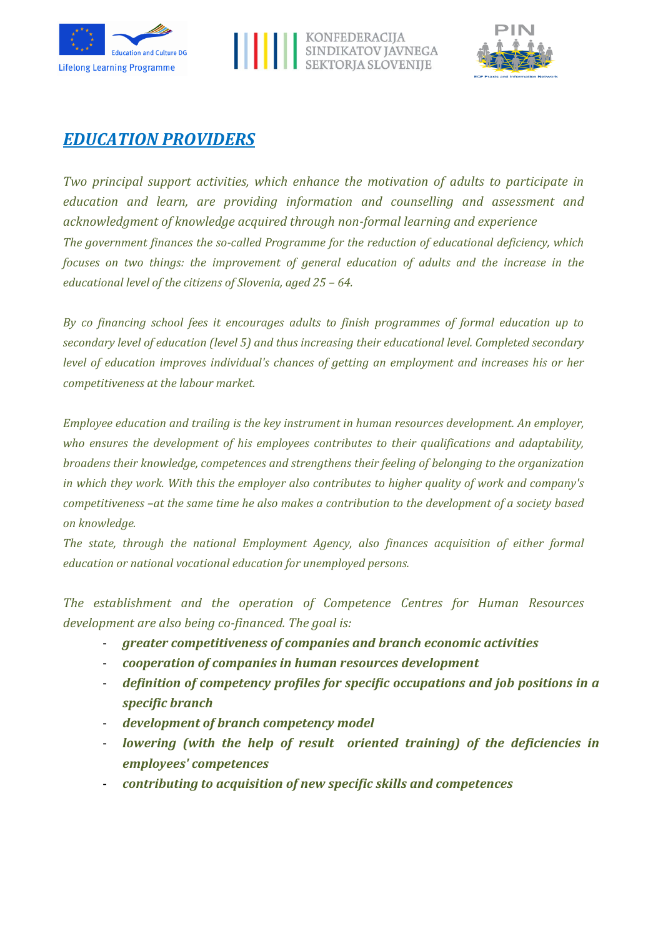





## *EDUCATION PROVIDERS*

*Two principal support activities, which enhance the motivation of adults to participate in education and learn, are providing information and counselling and assessment and acknowledgment of knowledge acquired through non-formal learning and experience The government finances the so-called Programme for the reduction of educational deficiency, which focuses on two things: the improvement of general education of adults and the increase in the educational level of the citizens of Slovenia, aged 25 – 64.*

*By co financing school fees it encourages adults to finish programmes of formal education up to secondary level of education (level 5) and thus increasing their educational level. Completed secondary level of education improves individual's chances of getting an employment and increases his or her competitiveness at the labour market.*

*Employee education and trailing is the key instrument in human resources development. An employer, who ensures the development of his employees contributes to their qualifications and adaptability, broadens their knowledge, competences and strengthens their feeling of belonging to the organization in which they work. With this the employer also contributes to higher quality of work and company's competitiveness –at the same time he also makes a contribution to the development of a society based on knowledge.*

*The state, through the national Employment Agency, also finances acquisition of either formal education or national vocational education for unemployed persons.*

*The establishment and the operation of Competence Centres for Human Resources development are also being co-financed. The goal is:*

- *greater competitiveness of companies and branch economic activities*
- *cooperation of companies in human resources development*
- *definition of competency profiles for specific occupations and job positions in a specific branch*
- *development of branch competency model*
- *lowering (with the help of result oriented training) of the deficiencies in employees' competences*
- *contributing to acquisition of new specific skills and competences*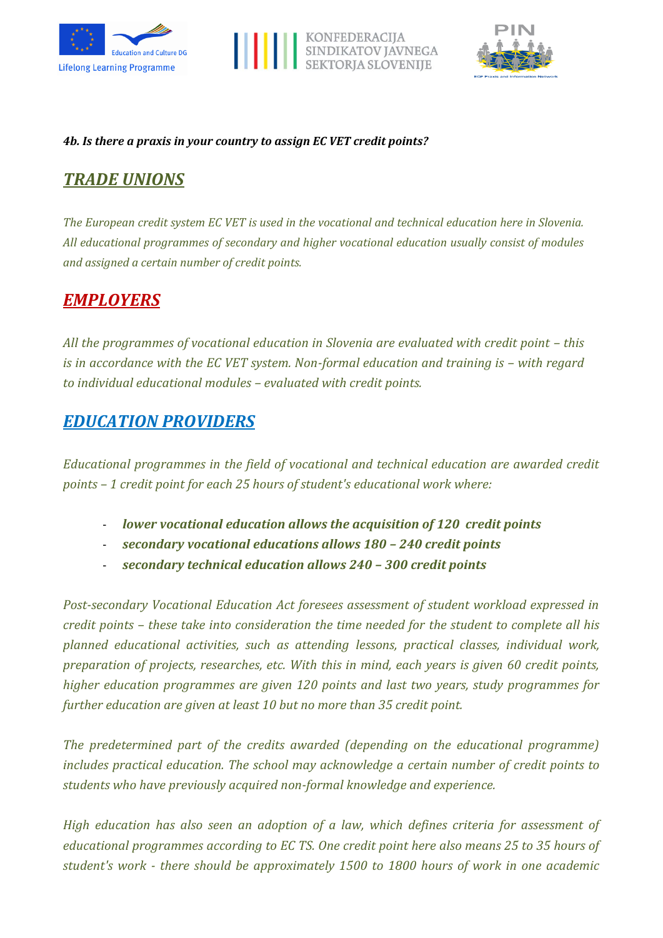





#### *4b. Is there a praxis in your country to assign EC VET credit points?*

# *TRADE UNIONS*

*The European credit system EC VET is used in the vocational and technical education here in Slovenia. All educational programmes of secondary and higher vocational education usually consist of modules and assigned a certain number of credit points.*

## *EMPLOYERS*

All the programmes of vocational education in Slovenia are evaluated with credit point – this *is in accordance with the EC VET system. Non-formal education and training is – with regard to individual educational modules – evaluated with credit points.*

## *EDUCATION PROVIDERS*

*Educational programmes in the field of vocational and technical education are awarded credit points – 1 credit point for each 25 hours of student's educational work where:*

- *lower vocational education allows the acquisition of 120 credit points*
- *secondary vocational educations allows 180 – 240 credit points*
- *secondary technical education allows 240 – 300 credit points*

*Post-secondary Vocational Education Act foresees assessment of student workload expressed in credit points – these take into consideration the time needed for the student to complete all his planned educational activities, such as attending lessons, practical classes, individual work, preparation of projects, researches, etc. With this in mind, each years is given 60 credit points, higher education programmes are given 120 points and last two years, study programmes for further education are given at least 10 but no more than 35 credit point.*

*The predetermined part of the credits awarded (depending on the educational programme) includes practical education. The school may acknowledge a certain number of credit points to students who have previously acquired non-formal knowledge and experience.*

*High education has also seen an adoption of a law, which defines criteria for assessment of educational programmes according to EC TS. One credit point here also means 25 to 35 hours of student's work - there should be approximately 1500 to 1800 hours of work in one academic*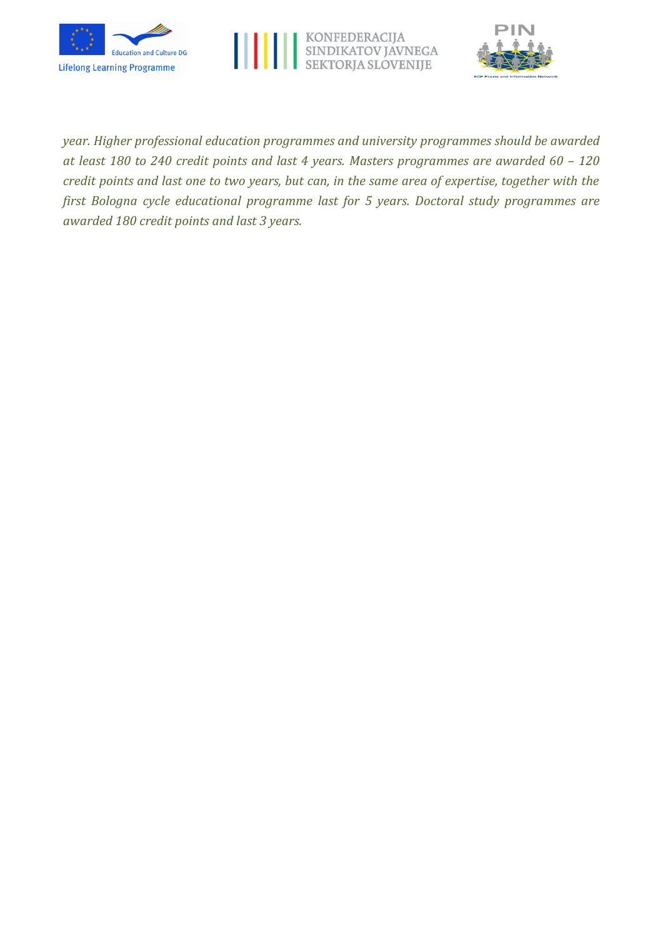





*year. Higher professional education programmes and university programmes should be awarded at least 180 to 240 credit points and last 4 years. Masters programmes are awarded 60 – 120 credit points and last one to two years, but can, in the same area of expertise, together with the first Bologna cycle educational programme last for 5 years. Doctoral study programmes are awarded 180 credit points and last 3 years.*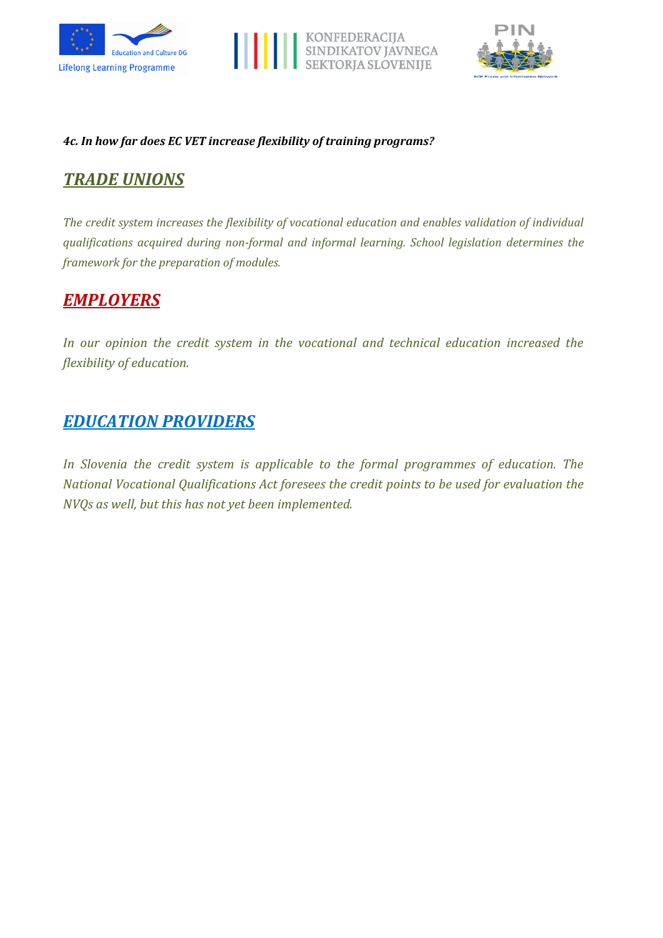





#### *4c. In how far does EC VET increase flexibility of training programs?*

# *TRADE UNIONS*

*The credit system increases the flexibility of vocational education and enables validation of individual qualifications acquired during non-formal and informal learning. School legislation determines the framework for the preparation of modules.*

## *EMPLOYERS*

*In our opinion the credit system in the vocational and technical education increased the flexibility of education.*

## *EDUCATION PROVIDERS*

*In Slovenia the credit system is applicable to the formal programmes of education. The National Vocational Qualifications Act foresees the credit points to be used for evaluation the NVQs as well, but this has not yet been implemented.*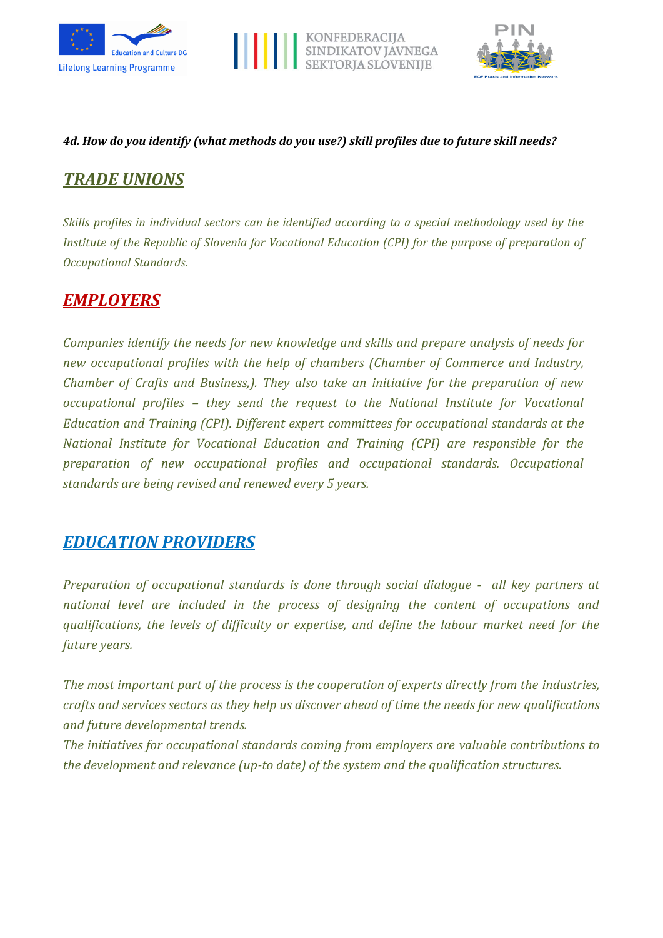





#### *4d. How do you identify (what methods do you use?) skill profiles due to future skill needs?*

# *TRADE UNIONS*

*Skills profiles in individual sectors can be identified according to a special methodology used by the Institute of the Republic of Slovenia for Vocational Education (CPI) for the purpose of preparation of Occupational Standards.*

# *EMPLOYERS*

*Companies identify the needs for new knowledge and skills and prepare analysis of needs for new occupational profiles with the help of chambers (Chamber of Commerce and Industry, Chamber of Crafts and Business,). They also take an initiative for the preparation of new occupational profiles – they send the request to the National Institute for Vocational Education and Training (CPI). Different expert committees for occupational standards at the National Institute for Vocational Education and Training (CPI) are responsible for the preparation of new occupational profiles and occupational standards. Occupational standards are being revised and renewed every 5 years.*

## *EDUCATION PROVIDERS*

*Preparation of occupational standards is done through social dialogue - all key partners at national level are included in the process of designing the content of occupations and qualifications, the levels of difficulty or expertise, and define the labour market need for the future years.*

*The most important part of the process is the cooperation of experts directly from the industries, crafts and services sectors as they help us discover ahead of time the needs for new qualifications and future developmental trends.*

*The initiatives for occupational standards coming from employers are valuable contributions to the development and relevance (up-to date) of the system and the qualification structures.*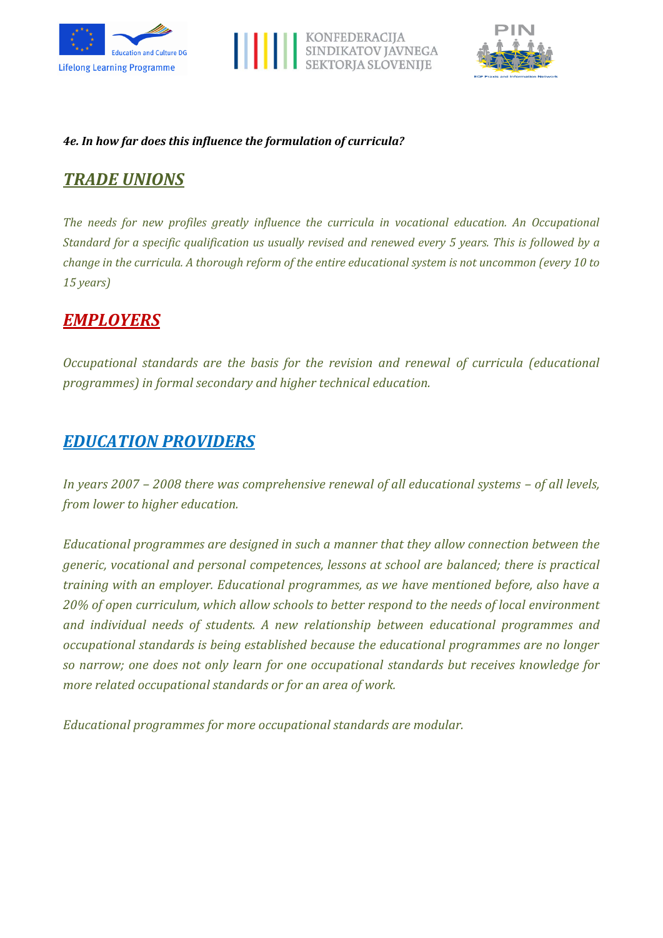





#### *4e. In how far does this influence the formulation of curricula?*

# *TRADE UNIONS*

*The needs for new profiles greatly influence the curricula in vocational education. An Occupational Standard for a specific qualification us usually revised and renewed every 5 years. This is followed by a change in the curricula. A thorough reform of the entire educational system is not uncommon (every 10 to 15 years)*

## *EMPLOYERS*

*Occupational standards are the basis for the revision and renewal of curricula (educational programmes) in formal secondary and higher technical education.*

## *EDUCATION PROVIDERS*

*In years 2007 – 2008 there was comprehensive renewal of all educational systems – of all levels, from lower to higher education.*

*Educational programmes are designed in such a manner that they allow connection between the generic, vocational and personal competences, lessons at school are balanced; there is practical training with an employer. Educational programmes, as we have mentioned before, also have a 20% of open curriculum, which allow schools to better respond to the needs of local environment and individual needs of students. A new relationship between educational programmes and occupational standards is being established because the educational programmes are no longer so narrow; one does not only learn for one occupational standards but receives knowledge for more related occupational standards or for an area of work.*

*Educational programmes for more occupational standards are modular.*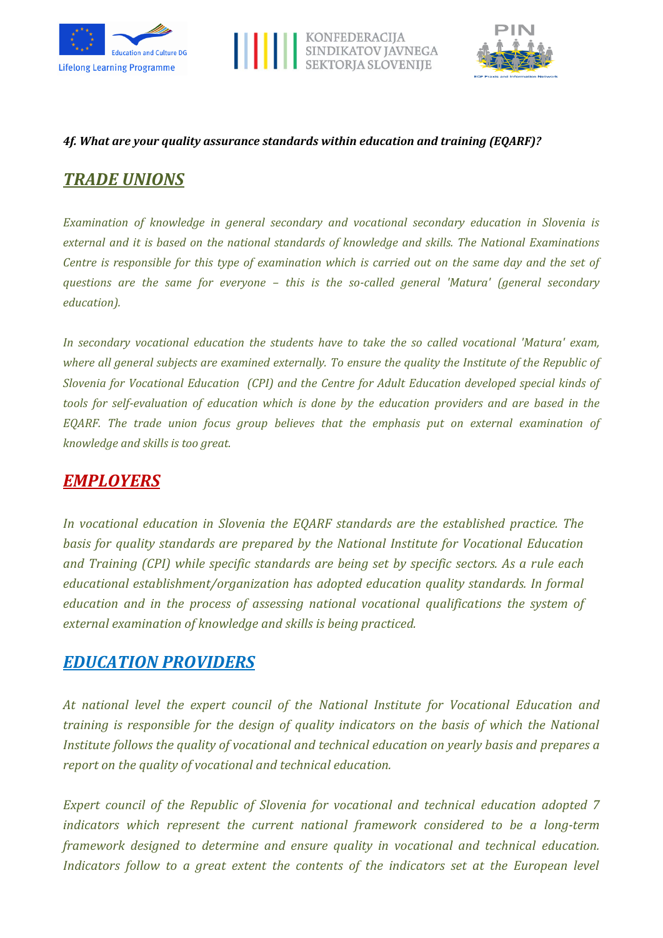





#### *4f. What are your quality assurance standards within education and training (EQARF)?*

## *TRADE UNIONS*

*Examination of knowledge in general secondary and vocational secondary education in Slovenia is external and it is based on the national standards of knowledge and skills. The National Examinations Centre is responsible for this type of examination which is carried out on the same day and the set of questions are the same for everyone – this is the so-called general 'Matura' (general secondary education).*

*In secondary vocational education the students have to take the so called vocational 'Matura' exam, where all general subjects are examined externally. To ensure the quality the Institute of the Republic of Slovenia for Vocational Education (CPI) and the Centre for Adult Education developed special kinds of tools for self-evaluation of education which is done by the education providers and are based in the EQARF. The trade union focus group believes that the emphasis put on external examination of knowledge and skills is too great.*

## *EMPLOYERS*

*In vocational education in Slovenia the EQARF standards are the established practice. The basis for quality standards are prepared by the National Institute for Vocational Education and Training (CPI) while specific standards are being set by specific sectors. As a rule each educational establishment/organization has adopted education quality standards. In formal education and in the process of assessing national vocational qualifications the system of external examination of knowledge and skills is being practiced.*

## *EDUCATION PROVIDERS*

*At national level the expert council of the National Institute for Vocational Education and training is responsible for the design of quality indicators on the basis of which the National Institute follows the quality of vocational and technical education on yearly basis and prepares a report on the quality of vocational and technical education.*

*Expert council of the Republic of Slovenia for vocational and technical education adopted 7 indicators which represent the current national framework considered to be a long-term framework designed to determine and ensure quality in vocational and technical education. Indicators follow to a great extent the contents of the indicators set at the European level*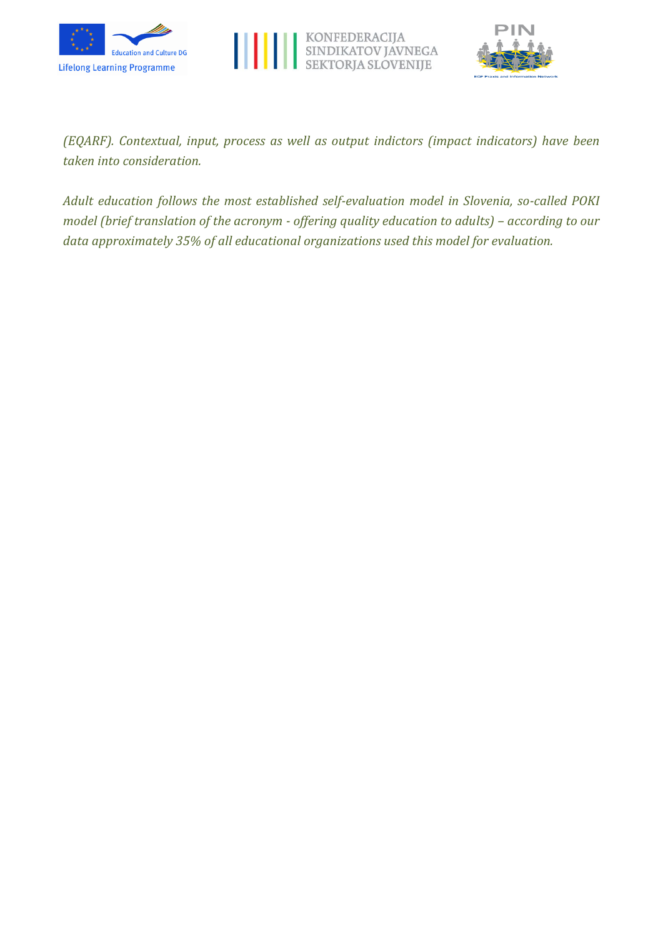





*(EQARF). Contextual, input, process as well as output indictors (impact indicators) have been taken into consideration.*

*Adult education follows the most established self-evaluation model in Slovenia, so-called POKI model (brief translation of the acronym - offering quality education to adults) - according to our data approximately 35% of all educational organizations used this model for evaluation.*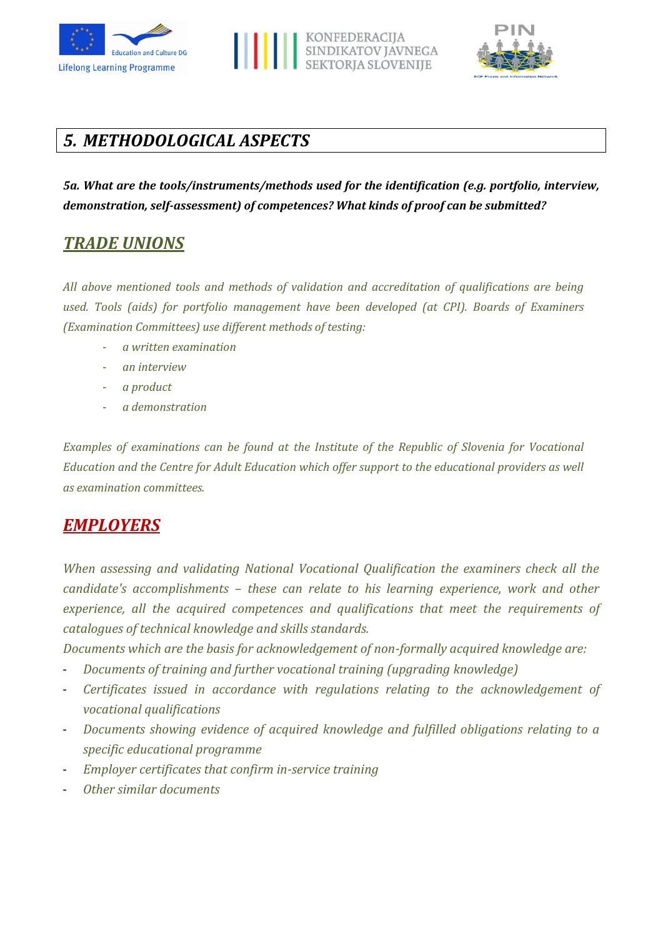





# *5. METHODOLOGICAL ASPECTS*

*5a. What are the tools/instruments/methods used for the identification (e.g. portfolio, interview, demonstration, self-assessment) of competences? What kinds of proof can be submitted?*

## *TRADE UNIONS*

*All above mentioned tools and methods of validation and accreditation of qualifications are being used. Tools (aids) for portfolio management have been developed (at CPI). Boards of Examiners (Examination Committees) use different methods of testing:*

- *a written examination*
- *an interview*
- *a product*
- *a demonstration*

*Examples of examinations can be found at the Institute of the Republic of Slovenia for Vocational Education and the Centre for Adult Education which offer support to the educational providers as well as examination committees.*

## *EMPLOYERS*

*When assessing and validating National Vocational Qualification the examiners check all the candidate's accomplishments – these can relate to his learning experience, work and other experience, all the acquired competences and qualifications that meet the requirements of catalogues of technical knowledge and skills standards.*

*Documents which are the basis for acknowledgement of non-formally acquired knowledge are:*

- *Documents of training and further vocational training (upgrading knowledge)*
- *Certificates issued in accordance with regulations relating to the acknowledgement of vocational qualifications*
- *Documents showing evidence of acquired knowledge and fulfilled obligations relating to a specific educational programme*
- *Employer certificates that confirm in-service training*
- *Other similar documents*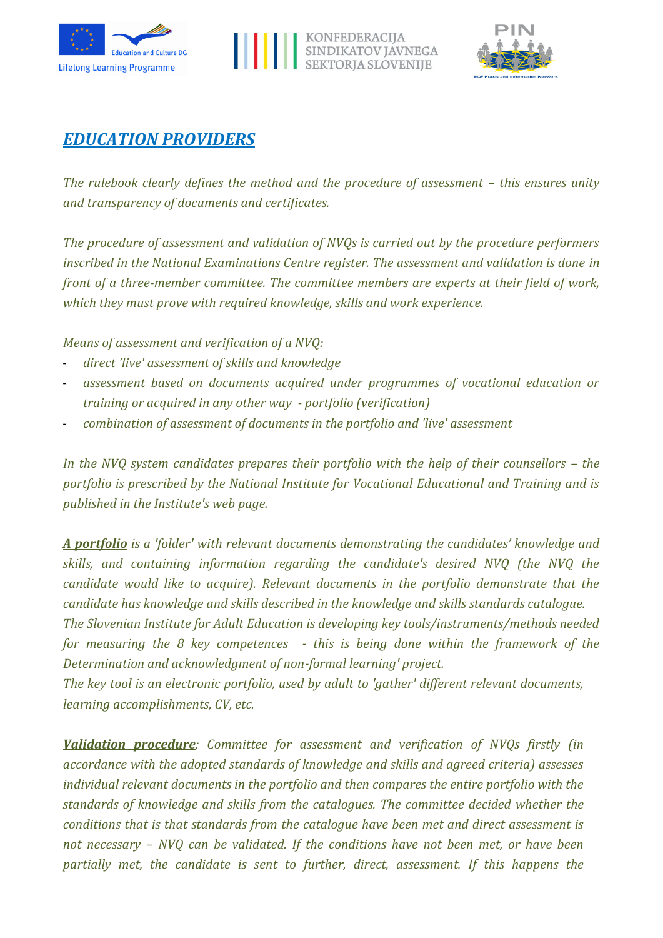





## *EDUCATION PROVIDERS*

*The rulebook clearly defines the method and the procedure of assessment – this ensures unity and transparency of documents and certificates.*

*The procedure of assessment and validation of NVQs is carried out by the procedure performers inscribed in the National Examinations Centre register. The assessment and validation is done in front of a three-member committee. The committee members are experts at their field of work, which they must prove with required knowledge, skills and work experience.*

*Means of assessment and verification of a NVQ:*

- *direct 'live' assessment of skills and knowledge*
- *assessment based on documents acquired under programmes of vocational education or training or acquired in any other way - portfolio (verification)*
- *combination of assessment of documents in the portfolio and 'live' assessment*

*In the NVQ system candidates prepares their portfolio with the help of their counsellors – the portfolio is prescribed by the National Institute for Vocational Educational and Training and is published in the Institute's web page.* 

*A portfolio is a 'folder' with relevant documents demonstrating the candidates' knowledge and skills, and containing information regarding the candidate's desired NVQ (the NVQ the candidate would like to acquire). Relevant documents in the portfolio demonstrate that the candidate has knowledge and skills described in the knowledge and skills standards catalogue.*

*The Slovenian Institute for Adult Education is developing key tools/instruments/methods needed for measuring the 8 key competences - this is being done within the framework of the Determination and acknowledgment of non-formal learning' project.*

*The key tool is an electronic portfolio, used by adult to 'gather' different relevant documents, learning accomplishments, CV, etc.*

*Validation procedure: Committee for assessment and verification of NVQs firstly (in accordance with the adopted standards of knowledge and skills and agreed criteria) assesses individual relevant documents in the portfolio and then compares the entire portfolio with the standards of knowledge and skills from the catalogues. The committee decided whether the conditions that is that standards from the catalogue have been met and direct assessment is not necessary – NVQ can be validated. If the conditions have not been met, or have been partially met, the candidate is sent to further, direct, assessment. If this happens the*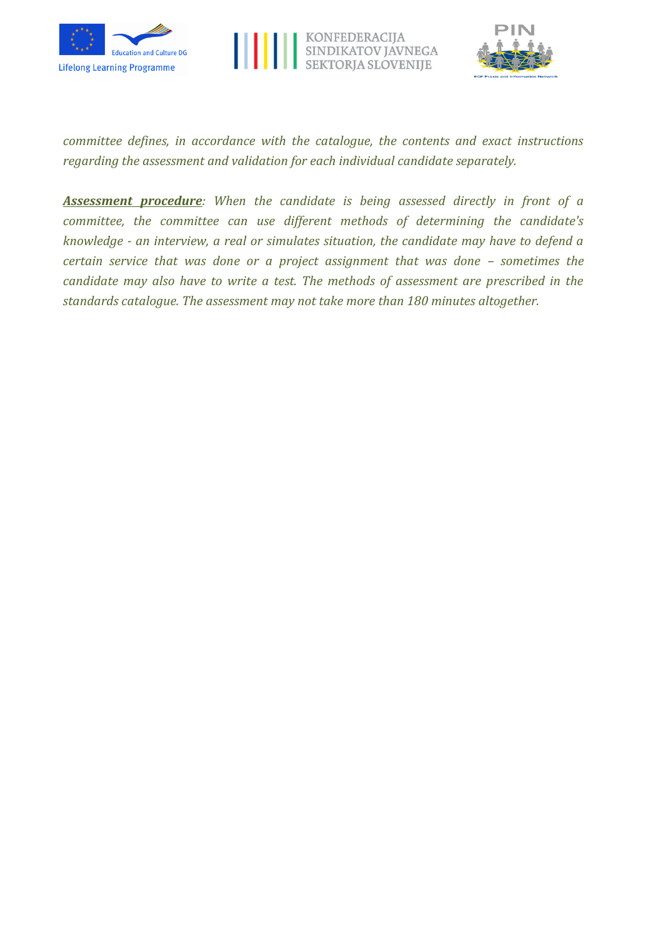





*committee defines, in accordance with the catalogue, the contents and exact instructions regarding the assessment and validation for each individual candidate separately.*

*Assessment procedure: When the candidate is being assessed directly in front of a committee, the committee can use different methods of determining the candidate's knowledge - an interview, a real or simulates situation, the candidate may have to defend a certain service that was done or a project assignment that was done – sometimes the candidate may also have to write a test. The methods of assessment are prescribed in the standards catalogue. The assessment may not take more than 180 minutes altogether.*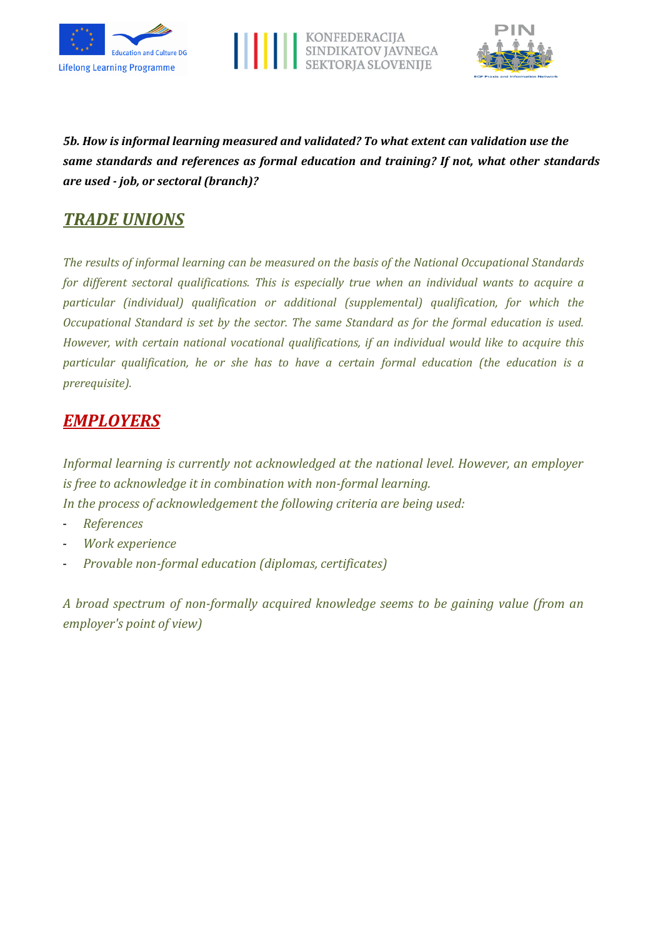





*5b. How is informal learning measured and validated? To what extent can validation use the same standards and references as formal education and training? If not, what other standards are used - job, or sectoral (branch)?*

## *TRADE UNIONS*

*The results of informal learning can be measured on the basis of the National Occupational Standards for different sectoral qualifications. This is especially true when an individual wants to acquire a particular (individual) qualification or additional (supplemental) qualification, for which the Occupational Standard is set by the sector. The same Standard as for the formal education is used. However, with certain national vocational qualifications, if an individual would like to acquire this particular qualification, he or she has to have a certain formal education (the education is a prerequisite).*

# *EMPLOYERS*

*Informal learning is currently not acknowledged at the national level. However, an employer is free to acknowledge it in combination with non-formal learning. In the process of acknowledgement the following criteria are being used:*

- *References*
- *Work experience*
- *Provable non-formal education (diplomas, certificates)*

*A broad spectrum of non-formally acquired knowledge seems to be gaining value (from an employer's point of view)*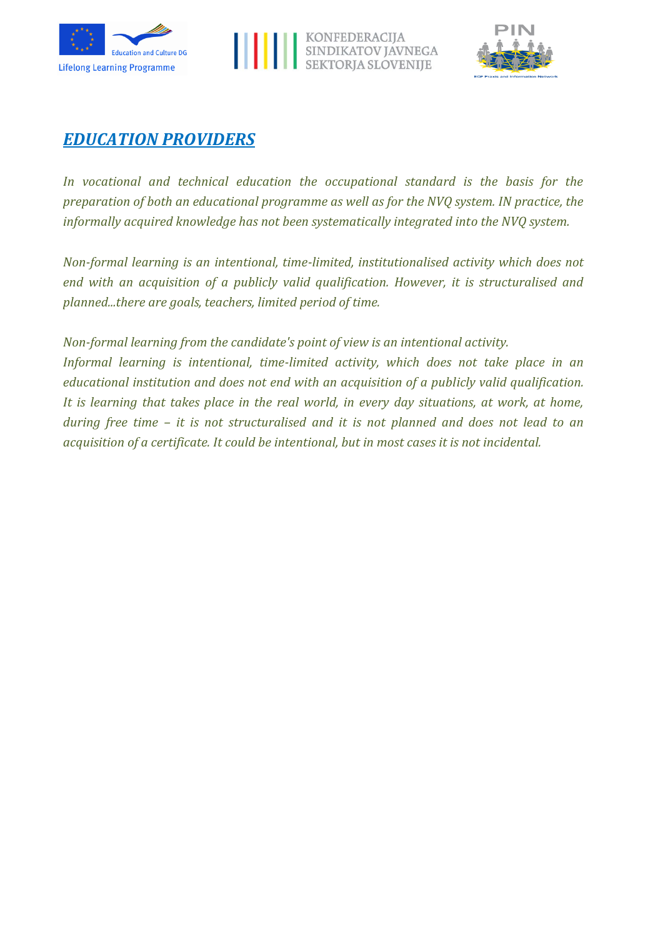





## *EDUCATION PROVIDERS*

*In vocational and technical education the occupational standard is the basis for the preparation of both an educational programme as well as for the NVQ system. IN practice, the informally acquired knowledge has not been systematically integrated into the NVQ system.*

*Non-formal learning is an intentional, time-limited, institutionalised activity which does not end with an acquisition of a publicly valid qualification. However, it is structuralised and planned...there are goals, teachers, limited period of time.* 

*Non-formal learning from the candidate's point of view is an intentional activity.*

*Informal learning is intentional, time-limited activity, which does not take place in an educational institution and does not end with an acquisition of a publicly valid qualification. It is learning that takes place in the real world, in every day situations, at work, at home, during free time – it is not structuralised and it is not planned and does not lead to an acquisition of a certificate. It could be intentional, but in most cases it is not incidental.*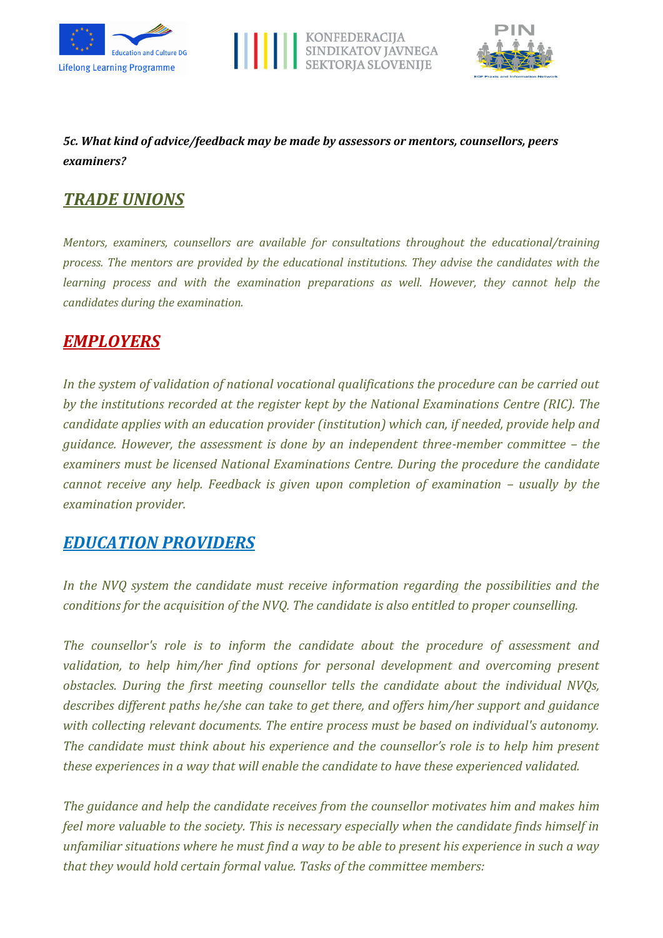





## *5c. What kind of advice/feedback may be made by assessors or mentors, counsellors, peers examiners?*

## *TRADE UNIONS*

*Mentors, examiners, counsellors are available for consultations throughout the educational/training process. The mentors are provided by the educational institutions. They advise the candidates with the learning process and with the examination preparations as well. However, they cannot help the candidates during the examination.*

## *EMPLOYERS*

*In the system of validation of national vocational qualifications the procedure can be carried out by the institutions recorded at the register kept by the National Examinations Centre (RIC). The candidate applies with an education provider (institution) which can, if needed, provide help and guidance. However, the assessment is done by an independent three-member committee – the examiners must be licensed National Examinations Centre. During the procedure the candidate cannot receive any help. Feedback is given upon completion of examination – usually by the examination provider.*

## *EDUCATION PROVIDERS*

*In the NVQ system the candidate must receive information regarding the possibilities and the conditions for the acquisition of the NVQ. The candidate is also entitled to proper counselling.*

*The counsellor's role is to inform the candidate about the procedure of assessment and validation, to help him/her find options for personal development and overcoming present obstacles. During the first meeting counsellor tells the candidate about the individual NVQs, describes different paths he/she can take to get there, and offers him/her support and guidance with collecting relevant documents. The entire process must be based on individual's autonomy. The candidate must think about his experience and the counsellor's role is to help him present these experiences in a way that will enable the candidate to have these experienced validated.* 

*The guidance and help the candidate receives from the counsellor motivates him and makes him feel more valuable to the society. This is necessary especially when the candidate finds himself in unfamiliar situations where he must find a way to be able to present his experience in such a way that they would hold certain formal value. Tasks of the committee members:*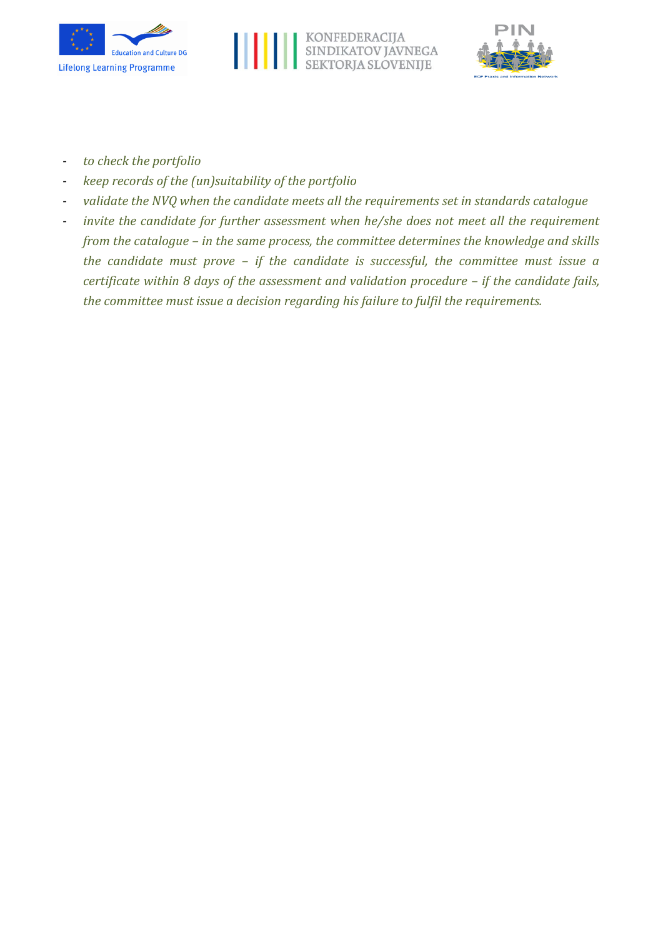





- *to check the portfolio*
- *keep records of the (un)suitability of the portfolio*
- *validate the NVQ when the candidate meets all the requirements set in standards catalogue*
- *invite the candidate for further assessment when he/she does not meet all the requirement from the catalogue – in the same process, the committee determines the knowledge and skills the candidate must prove – if the candidate is successful, the committee must issue a certificate within 8 days of the assessment and validation procedure - if the candidate fails, the committee must issue a decision regarding his failure to fulfil the requirements.*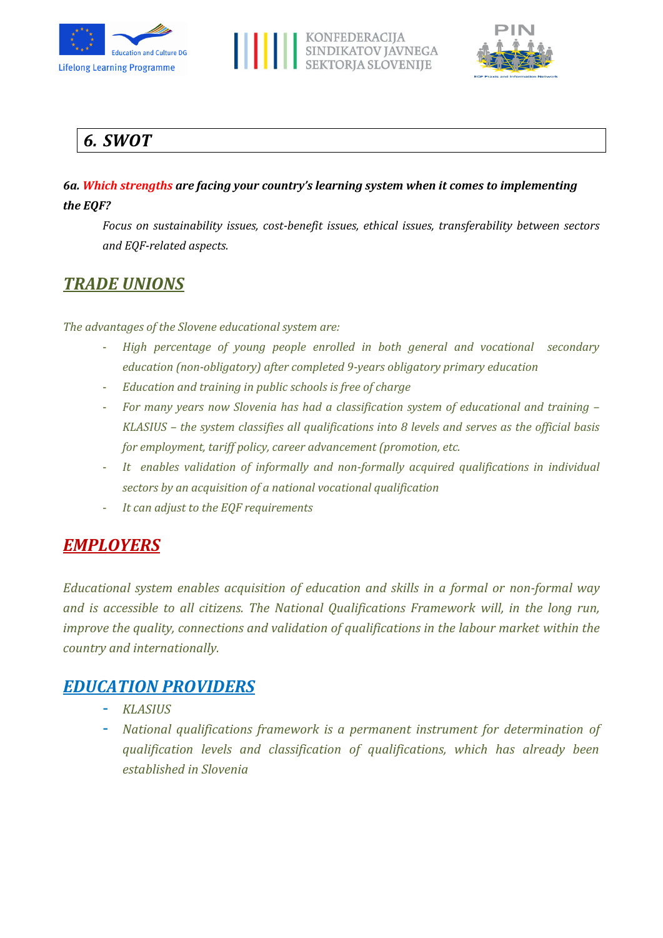





# *6. SWOT*

*6a. Which strengths are facing your country's learning system when it comes to implementing the EQF?*

*Focus on sustainability issues, cost-benefit issues, ethical issues, transferability between sectors and EQF-related aspects.*

## *TRADE UNIONS*

*The advantages of the Slovene educational system are:* 

- *High percentage of young people enrolled in both general and vocational secondary education (non-obligatory) after completed 9-years obligatory primary education*
- *Education and training in public schools is free of charge*
- *For many years now Slovenia has had a classification system of educational and training – KLASIUS – the system classifies all qualifications into 8 levels and serves as the official basis for employment, tariff policy, career advancement (promotion, etc.*
- *It enables validation of informally and non-formally acquired qualifications in individual sectors by an acquisition of a national vocational qualification*
- *It can adjust to the EQF requirements*

# *EMPLOYERS*

*Educational system enables acquisition of education and skills in a formal or non-formal way and is accessible to all citizens. The National Qualifications Framework will, in the long run, improve the quality, connections and validation of qualifications in the labour market within the country and internationally.*

## *EDUCATION PROVIDERS*

- *KLASIUS*
- *National qualifications framework is a permanent instrument for determination of qualification levels and classification of qualifications, which has already been established in Slovenia*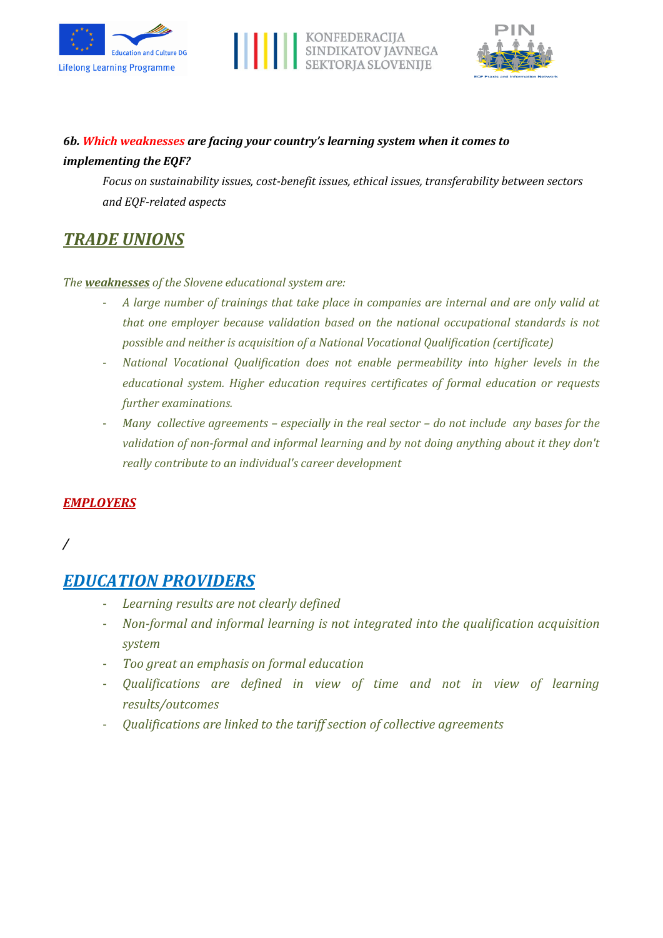





## *6b. Which weaknesses are facing your country's learning system when it comes to implementing the EQF?*

*Focus on sustainability issues, cost-benefit issues, ethical issues, transferability between sectors and EQF-related aspects*

# *TRADE UNIONS*

*The weaknesses of the Slovene educational system are:*

- *A large number of trainings that take place in companies are internal and are only valid at that one employer because validation based on the national occupational standards is not possible and neither is acquisition of a National Vocational Qualification (certificate)*
- *National Vocational Qualification does not enable permeability into higher levels in the educational system. Higher education requires certificates of formal education or requests further examinations.*
- *Many collective agreements – especially in the real sector – do not include any bases for the validation of non-formal and informal learning and by not doing anything about it they don't really contribute to an individual's career development*

#### *EMPLOYERS*

*/*

# *EDUCATION PROVIDERS*

- *Learning results are not clearly defined*
- *Non-formal and informal learning is not integrated into the qualification acquisition system*
- *Too great an emphasis on formal education*
- *Qualifications are defined in view of time and not in view of learning results/outcomes*
- *Qualifications are linked to the tariff section of collective agreements*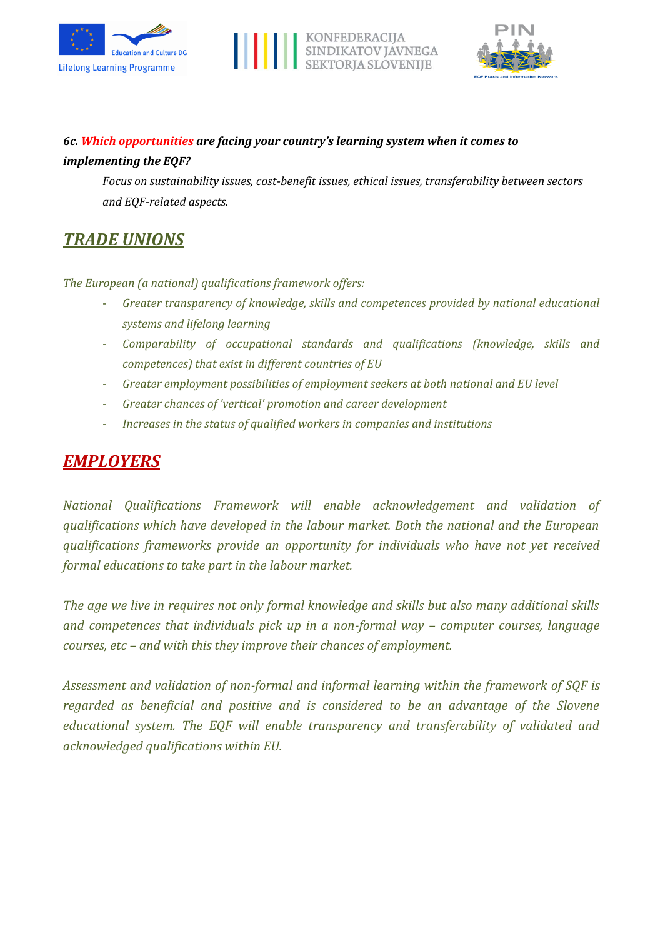





## *6c. Which opportunities are facing your country's learning system when it comes to implementing the EQF?*

*Focus on sustainability issues, cost-benefit issues, ethical issues, transferability between sectors and EQF-related aspects.*

# *TRADE UNIONS*

*The European (a national) qualifications framework offers:*

- *Greater transparency of knowledge, skills and competences provided by national educational systems and lifelong learning*
- *Comparability of occupational standards and qualifications (knowledge, skills and competences) that exist in different countries of EU*
- *Greater employment possibilities of employment seekers at both national and EU level*
- *Greater chances of 'vertical' promotion and career development*
- *Increases in the status of qualified workers in companies and institutions*

# *EMPLOYERS*

*National Qualifications Framework will enable acknowledgement and validation of qualifications which have developed in the labour market. Both the national and the European qualifications frameworks provide an opportunity for individuals who have not yet received formal educations to take part in the labour market.*

*The age we live in requires not only formal knowledge and skills but also many additional skills and competences that individuals pick up in a non-formal way – computer courses, language courses, etc – and with this they improve their chances of employment.*

*Assessment and validation of non-formal and informal learning within the framework of SQF is regarded as beneficial and positive and is considered to be an advantage of the Slovene educational system. The EQF will enable transparency and transferability of validated and acknowledged qualifications within EU.*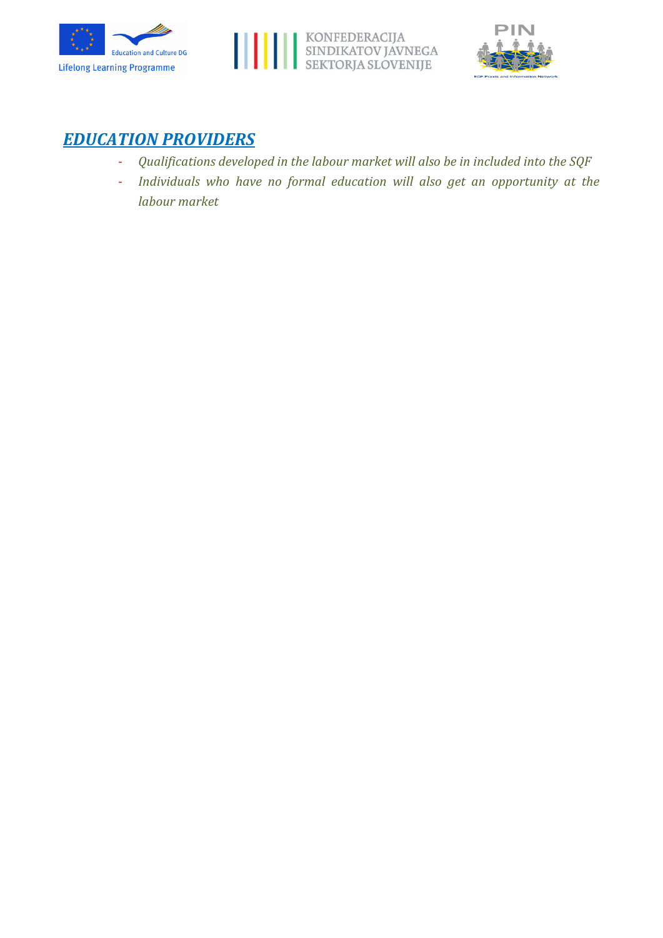





## *EDUCATION PROVIDERS*

- *Qualifications developed in the labour market will also be in included into the SQF*
- *Individuals who have no formal education will also get an opportunity at the labour market*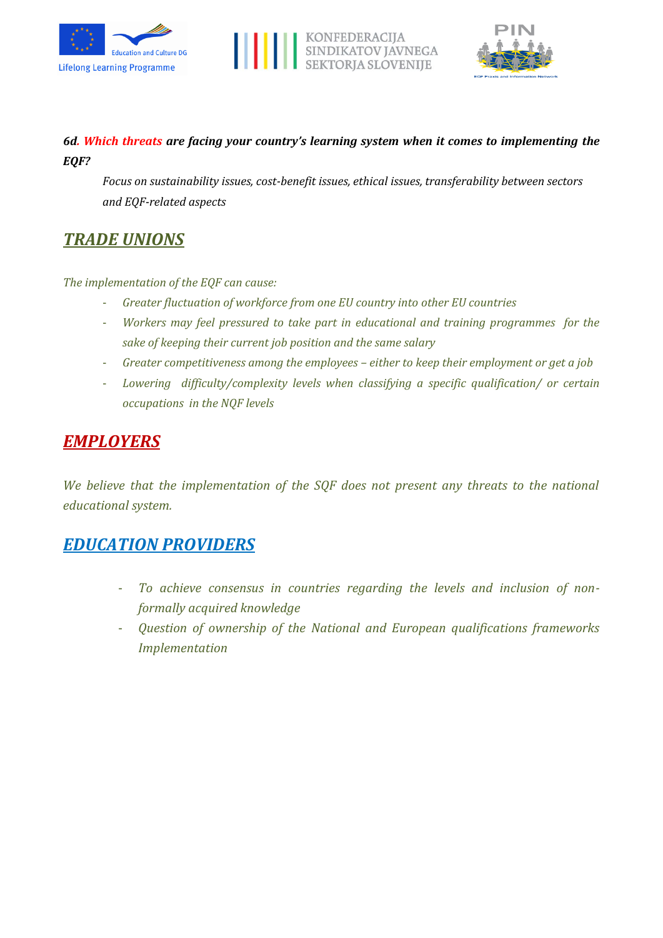





### *6d. Which threats are facing your country's learning system when it comes to implementing the EQF?*

*Focus on sustainability issues, cost-benefit issues, ethical issues, transferability between sectors and EQF-related aspects*

## *TRADE UNIONS*

#### *The implementation of the EQF can cause:*

- *Greater fluctuation of workforce from one EU country into other EU countries*
- *Workers may feel pressured to take part in educational and training programmes for the sake of keeping their current job position and the same salary*
- *Greater competitiveness among the employees – either to keep their employment or get a job*
- *Lowering difficulty/complexity levels when classifying a specific qualification/ or certain occupations in the NQF levels*

## *EMPLOYERS*

*We believe that the implementation of the SQF does not present any threats to the national educational system.*

## *EDUCATION PROVIDERS*

- To achieve consensus in countries regarding the levels and inclusion of non*formally acquired knowledge*
- *Question of ownership of the National and European qualifications frameworks Implementation*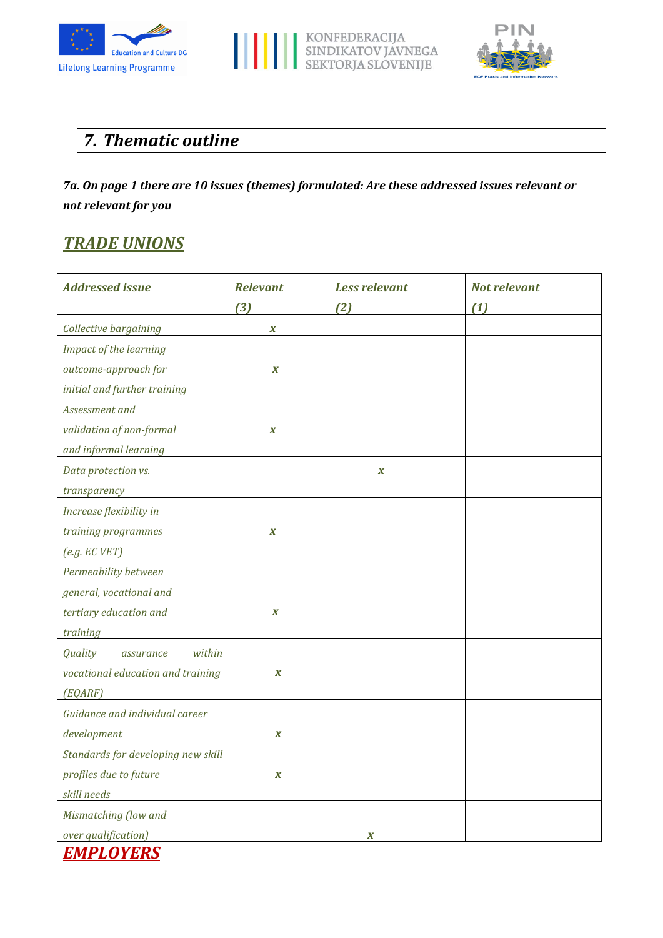





# *7. Thematic outline*

*7a. On page 1 there are 10 issues (themes) formulated: Are these addressed issues relevant or not relevant for you*

# *TRADE UNIONS*

| <b>Relevant</b>  | <b>Less relevant</b> | <b>Not relevant</b> |
|------------------|----------------------|---------------------|
| $(3)$            | (2)                  | (1)                 |
| $\boldsymbol{X}$ |                      |                     |
|                  |                      |                     |
| $\boldsymbol{X}$ |                      |                     |
|                  |                      |                     |
|                  |                      |                     |
| $\boldsymbol{X}$ |                      |                     |
|                  |                      |                     |
|                  | $\boldsymbol{X}$     |                     |
|                  |                      |                     |
|                  |                      |                     |
| $\boldsymbol{X}$ |                      |                     |
|                  |                      |                     |
|                  |                      |                     |
|                  |                      |                     |
| $\boldsymbol{X}$ |                      |                     |
|                  |                      |                     |
|                  |                      |                     |
| $\boldsymbol{X}$ |                      |                     |
|                  |                      |                     |
|                  |                      |                     |
| $\boldsymbol{X}$ |                      |                     |
|                  |                      |                     |
| $\boldsymbol{X}$ |                      |                     |
|                  |                      |                     |
|                  |                      |                     |
|                  | X                    |                     |
|                  |                      |                     |

*EMPLOYERS*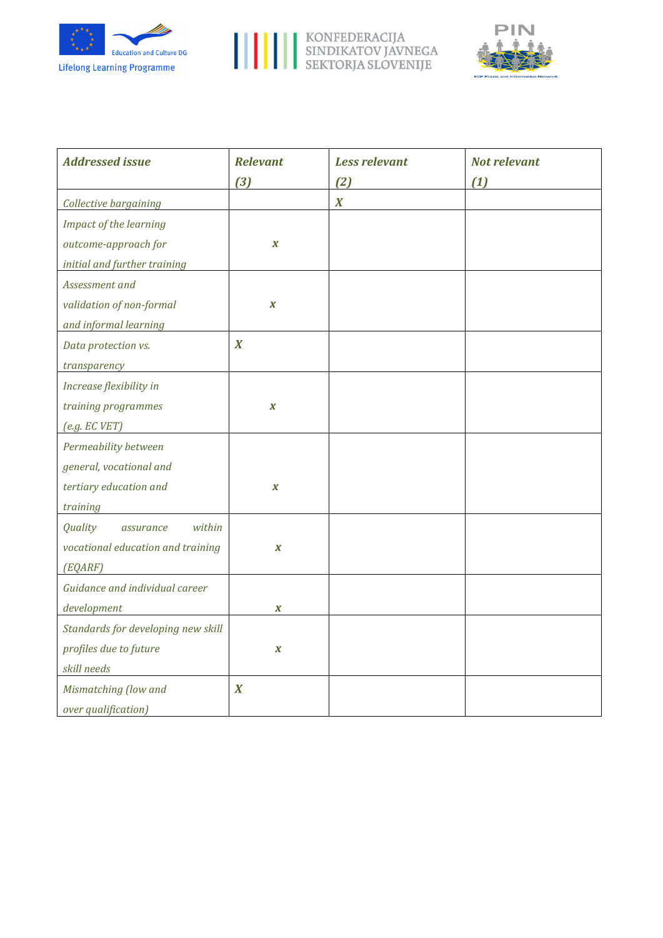





| <b>Addressed issue</b>             | <b>Relevant</b>  | <b>Less relevant</b> | <b>Not relevant</b> |
|------------------------------------|------------------|----------------------|---------------------|
|                                    | $(3)$            | (2)                  | (1)                 |
| Collective bargaining              |                  | $\boldsymbol{X}$     |                     |
| Impact of the learning             |                  |                      |                     |
| outcome-approach for               | $\boldsymbol{X}$ |                      |                     |
| initial and further training       |                  |                      |                     |
| Assessment and                     |                  |                      |                     |
| validation of non-formal           | $\boldsymbol{x}$ |                      |                     |
| and informal learning              |                  |                      |                     |
| Data protection vs.                | $\boldsymbol{X}$ |                      |                     |
| transparency                       |                  |                      |                     |
| Increase flexibility in            |                  |                      |                     |
| training programmes                | $\boldsymbol{X}$ |                      |                     |
| (e.g. ECVET)                       |                  |                      |                     |
| Permeability between               |                  |                      |                     |
| general, vocational and            |                  |                      |                     |
| tertiary education and             | $\boldsymbol{X}$ |                      |                     |
| training                           |                  |                      |                     |
| within<br>Quality<br>assurance     |                  |                      |                     |
| vocational education and training  | $\boldsymbol{X}$ |                      |                     |
| (EQARF)                            |                  |                      |                     |
| Guidance and individual career     |                  |                      |                     |
| development                        | X                |                      |                     |
| Standards for developing new skill |                  |                      |                     |
| profiles due to future             | $\boldsymbol{X}$ |                      |                     |
| skill needs                        |                  |                      |                     |
| Mismatching (low and               | $\boldsymbol{X}$ |                      |                     |
| over qualification)                |                  |                      |                     |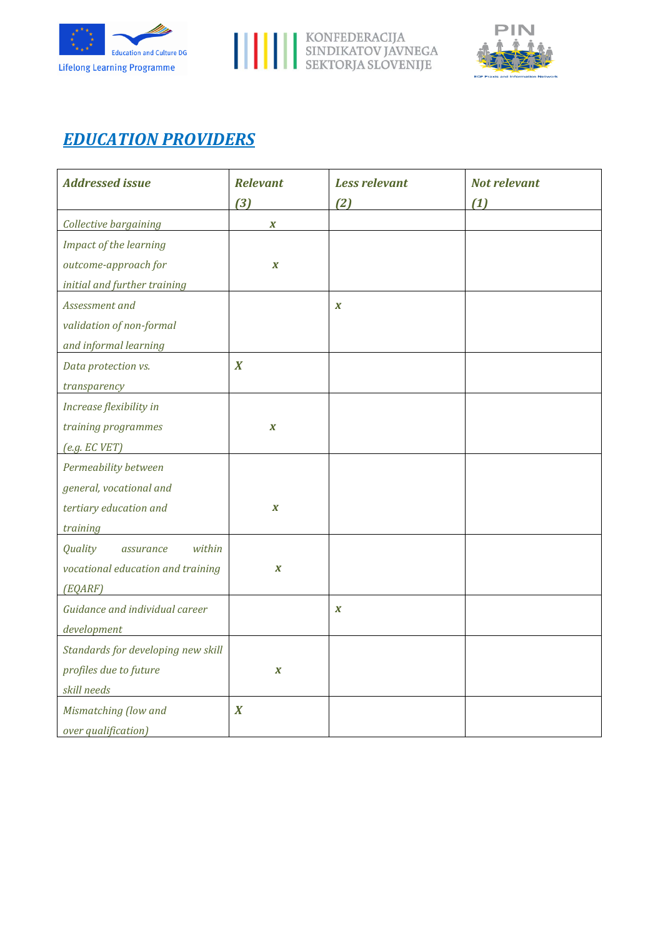





# *EDUCATION PROVIDERS*

| <b>Addressed issue</b>             | <b>Relevant</b>  | <b>Less relevant</b> | Not relevant |
|------------------------------------|------------------|----------------------|--------------|
|                                    | $(3)$            | (2)                  | (1)          |
| Collective bargaining              | $\boldsymbol{X}$ |                      |              |
| Impact of the learning             |                  |                      |              |
| outcome-approach for               | $\boldsymbol{X}$ |                      |              |
| initial and further training       |                  |                      |              |
| Assessment and                     |                  | $\boldsymbol{X}$     |              |
| validation of non-formal           |                  |                      |              |
| and informal learning              |                  |                      |              |
| Data protection vs.                | $\boldsymbol{X}$ |                      |              |
| transparency                       |                  |                      |              |
| Increase flexibility in            |                  |                      |              |
| training programmes                | $\boldsymbol{X}$ |                      |              |
| (e.g. ECVET)                       |                  |                      |              |
| Permeability between               |                  |                      |              |
| general, vocational and            |                  |                      |              |
| tertiary education and             | $\boldsymbol{X}$ |                      |              |
| training                           |                  |                      |              |
| within<br>Quality<br>assurance     |                  |                      |              |
| vocational education and training  | $\boldsymbol{X}$ |                      |              |
| (EQARF)                            |                  |                      |              |
| Guidance and individual career     |                  | $\boldsymbol{X}$     |              |
| development                        |                  |                      |              |
| Standards for developing new skill |                  |                      |              |
| profiles due to future             | $\boldsymbol{X}$ |                      |              |
| skill needs                        |                  |                      |              |
| Mismatching (low and               | $\boldsymbol{X}$ |                      |              |
| over qualification)                |                  |                      |              |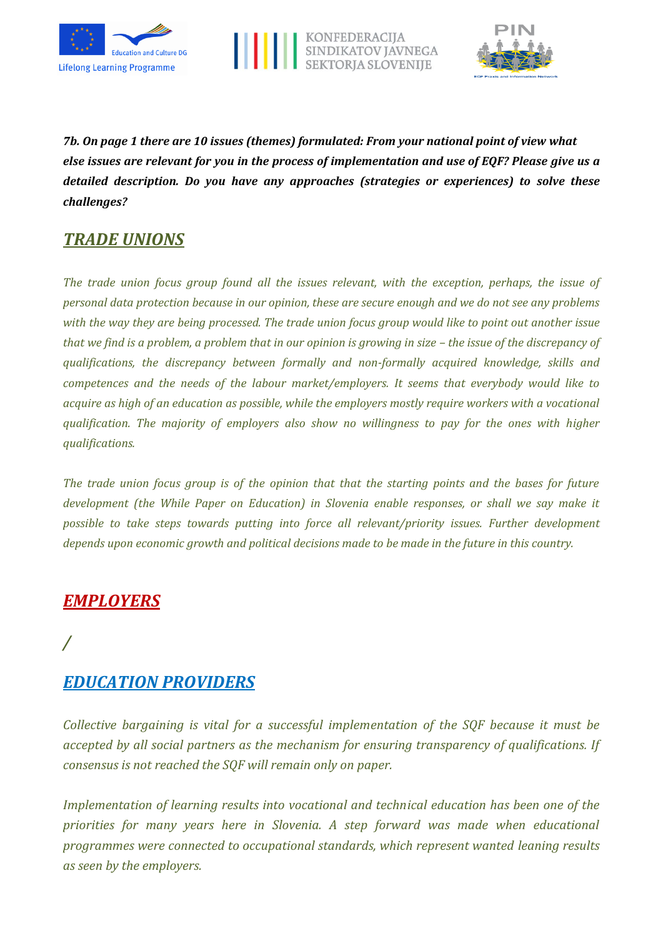





*7b. On page 1 there are 10 issues (themes) formulated: From your national point of view what else issues are relevant for you in the process of implementation and use of EQF? Please give us a detailed description. Do you have any approaches (strategies or experiences) to solve these challenges?*

# *TRADE UNIONS*

*The trade union focus group found all the issues relevant, with the exception, perhaps, the issue of personal data protection because in our opinion, these are secure enough and we do not see any problems with the way they are being processed. The trade union focus group would like to point out another issue that we find is a problem, a problem that in our opinion is growing in size – the issue of the discrepancy of qualifications, the discrepancy between formally and non-formally acquired knowledge, skills and competences and the needs of the labour market/employers. It seems that everybody would like to acquire as high of an education as possible, while the employers mostly require workers with a vocational qualification. The majority of employers also show no willingness to pay for the ones with higher qualifications.*

*The trade union focus group is of the opinion that that the starting points and the bases for future development (the While Paper on Education) in Slovenia enable responses, or shall we say make it possible to take steps towards putting into force all relevant/priority issues. Further development depends upon economic growth and political decisions made to be made in the future in this country.*

## *EMPLOYERS*

# */*

## *EDUCATION PROVIDERS*

*Collective bargaining is vital for a successful implementation of the SQF because it must be accepted by all social partners as the mechanism for ensuring transparency of qualifications. If consensus is not reached the SQF will remain only on paper.*

*Implementation of learning results into vocational and technical education has been one of the priorities for many years here in Slovenia. A step forward was made when educational programmes were connected to occupational standards, which represent wanted leaning results as seen by the employers.*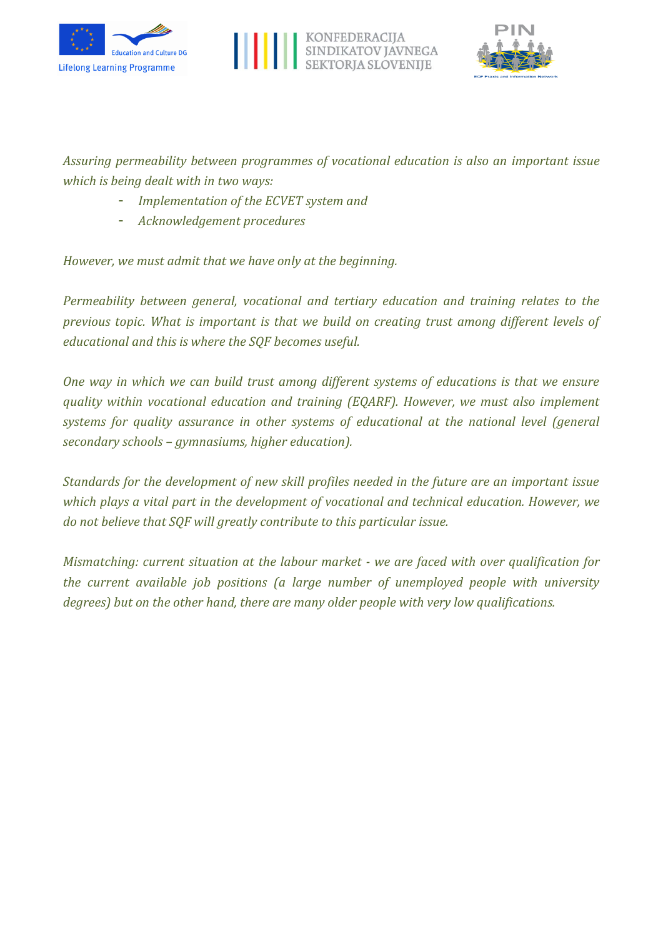





*Assuring permeability between programmes of vocational education is also an important issue which is being dealt with in two ways:*

- *Implementation of the ECVET system and*
- *Acknowledgement procedures*

*However, we must admit that we have only at the beginning.*

*Permeability between general, vocational and tertiary education and training relates to the previous topic. What is important is that we build on creating trust among different levels of educational and this is where the SQF becomes useful.*

*One way in which we can build trust among different systems of educations is that we ensure quality within vocational education and training (EQARF). However, we must also implement systems for quality assurance in other systems of educational at the national level (general secondary schools – gymnasiums, higher education).*

*Standards for the development of new skill profiles needed in the future are an important issue which plays a vital part in the development of vocational and technical education. However, we do not believe that SQF will greatly contribute to this particular issue.*

*Mismatching: current situation at the labour market - we are faced with over qualification for the current available job positions (a large number of unemployed people with university degrees) but on the other hand, there are many older people with very low qualifications.*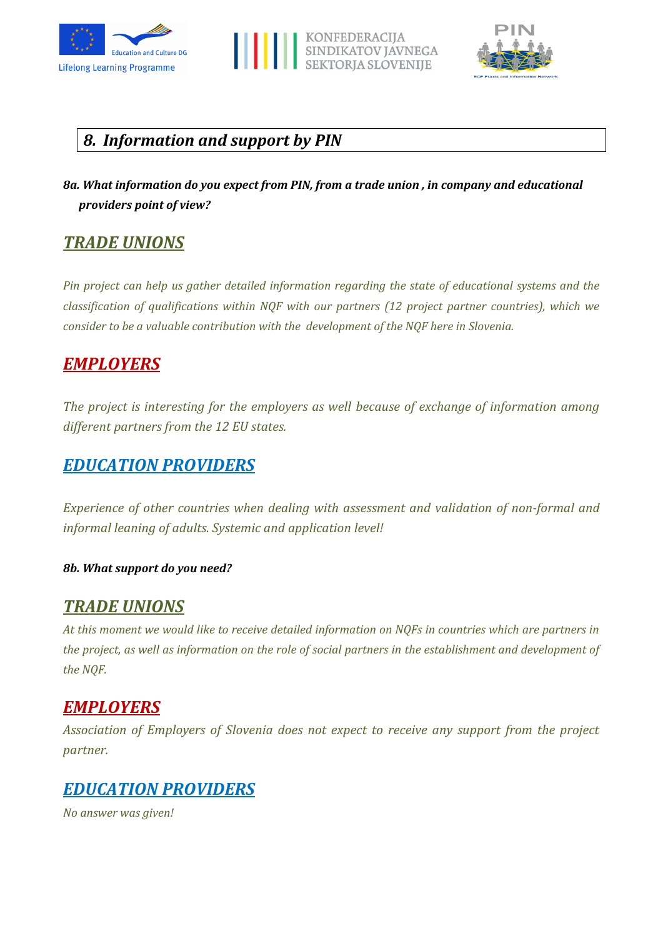





# *8. Information and support by PIN*

*8a. What information do you expect from PIN, from a trade union , in company and educational providers point of view?*

# *TRADE UNIONS*

*Pin project can help us gather detailed information regarding the state of educational systems and the classification of qualifications within NQF with our partners (12 project partner countries), which we consider to be a valuable contribution with the development of the NQF here in Slovenia.*

# *EMPLOYERS*

*The project is interesting for the employers as well because of exchange of information among different partners from the 12 EU states.*

## *EDUCATION PROVIDERS*

*Experience of other countries when dealing with assessment and validation of non-formal and informal leaning of adults. Systemic and application level!*

#### *8b. What support do you need?*

## *TRADE UNIONS*

*At this moment we would like to receive detailed information on NQFs in countries which are partners in the project, as well as information on the role of social partners in the establishment and development of the NQF.*

# *EMPLOYERS*

*Association of Employers of Slovenia does not expect to receive any support from the project partner.*

## *EDUCATION PROVIDERS*

*No answer was given!*